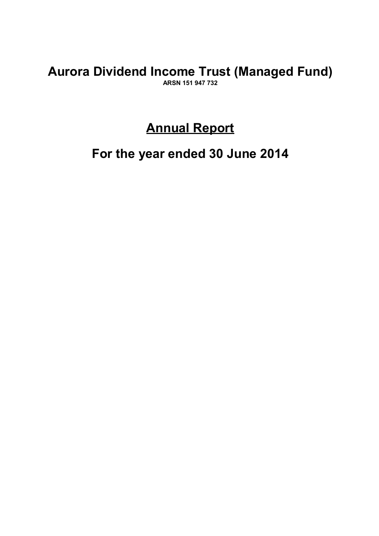## **Aurora Dividend Income Trust (Managed Fund) ARSN 151 947 732**

## **Annual Report**

**For the year ended 30 June 2014**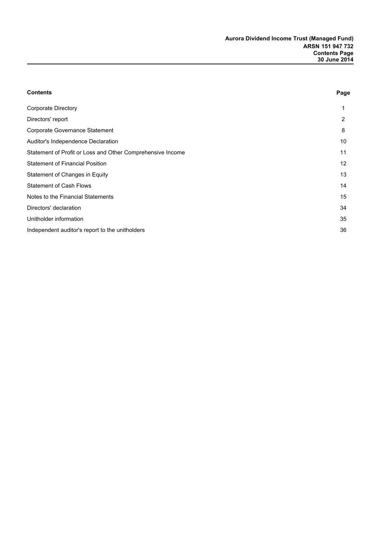| <b>Contents</b>                                            | Page            |
|------------------------------------------------------------|-----------------|
| <b>Corporate Directory</b>                                 | 1               |
| Directors' report                                          | 2               |
| Corporate Governance Statement                             | 8               |
| Auditor's Independence Declaration                         | 10              |
| Statement of Profit or Loss and Other Comprehensive Income | 11              |
| <b>Statement of Financial Position</b>                     | 12 <sup>°</sup> |
| Statement of Changes in Equity                             | 13              |
| <b>Statement of Cash Flows</b>                             | 14              |
| Notes to the Financial Statements                          | 15              |
| Directors' declaration                                     | 34              |
| Unitholder information                                     | 35              |
| Independent auditor's report to the unitholders            | 36              |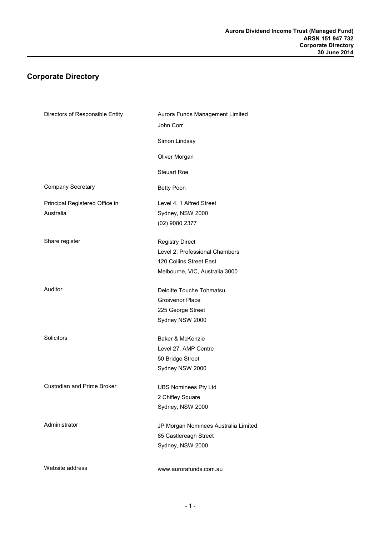## **Corporate Directory**

| Directors of Responsible Entity   | Aurora Funds Management Limited<br>John Corr |
|-----------------------------------|----------------------------------------------|
|                                   | Simon Lindsay                                |
|                                   | Oliver Morgan                                |
|                                   | <b>Steuart Roe</b>                           |
| <b>Company Secretary</b>          | <b>Betty Poon</b>                            |
| Principal Registered Office in    | Level 4, 1 Alfred Street                     |
| Australia                         | Sydney, NSW 2000                             |
|                                   | (02) 9080 2377                               |
| Share register                    | <b>Registry Direct</b>                       |
|                                   | Level 2, Professional Chambers               |
|                                   | 120 Collins Street East                      |
|                                   | Melbourne, VIC, Australia 3000               |
| Auditor                           | Deloitte Touche Tohmatsu                     |
|                                   | <b>Grosvenor Place</b>                       |
|                                   | 225 George Street                            |
|                                   | Sydney NSW 2000                              |
| Solicitors                        | Baker & McKenzie                             |
|                                   | Level 27, AMP Centre                         |
|                                   | 50 Bridge Street                             |
|                                   | Sydney NSW 2000                              |
| <b>Custodian and Prime Broker</b> | <b>UBS Nominees Pty Ltd</b>                  |
|                                   | 2 Chifley Square                             |
|                                   | Sydney, NSW 2000                             |
| Administrator                     | JP Morgan Nominees Australia Limited         |
|                                   | 85 Castlereagh Street                        |
|                                   | Sydney, NSW 2000                             |
| Website address                   | www.aurorafunds.com.au                       |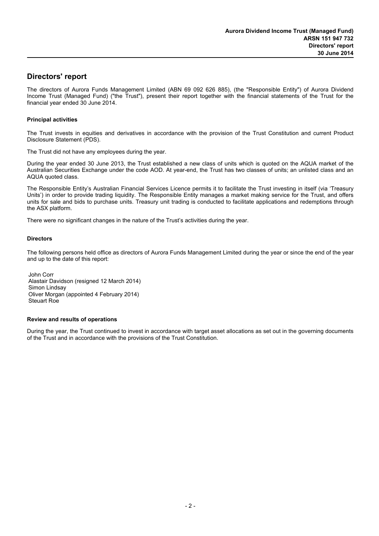## **Directors' report**

The directors of Aurora Funds Management Limited (ABN 69 092 626 885), (the "Responsible Entity") of Aurora Dividend Income Trust (Managed Fund) ("the Trust"), present their report together with the financial statements of the Trust for the financial year ended 30 June 2014.

#### **Principal activities**

The Trust invests in equities and derivatives in accordance with the provision of the Trust Constitution and current Product Disclosure Statement (PDS).

The Trust did not have any employees during the year.

During the year ended 30 June 2013, the Trust established a new class of units which is quoted on the AQUA market of the Australian Securities Exchange under the code AOD. At year-end, the Trust has two classes of units; an unlisted class and an AQUA quoted class.

The Responsible Entity's Australian Financial Services Licence permits it to facilitate the Trust investing in itself (via 'Treasury Units') in order to provide trading liquidity. The Responsible Entity manages a market making service for the Trust, and offers units for sale and bids to purchase units. Treasury unit trading is conducted to facilitate applications and redemptions through the ASX platform.

There were no significant changes in the nature of the Trust's activities during the year.

#### **Directors**

The following persons held office as directors of Aurora Funds Management Limited during the year or since the end of the year and up to the date of this report:

John Corr Alastair Davidson (resigned 12 March 2014) Simon Lindsay Oliver Morgan (appointed 4 February 2014) Steuart Roe

#### **Review and results of operations**

During the year, the Trust continued to invest in accordance with target asset allocations as set out in the governing documents of the Trust and in accordance with the provisions of the Trust Constitution.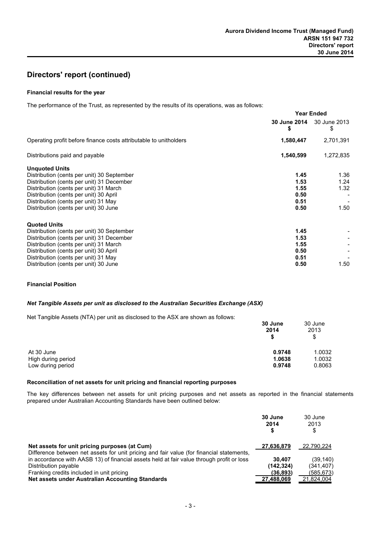#### **Financial results for the year**

The performance of the Trust, as represented by the results of its operations, was as follows:

|                                                                                                                                                                                                                                                                                       | <b>Year Ended</b>                            |                                |
|---------------------------------------------------------------------------------------------------------------------------------------------------------------------------------------------------------------------------------------------------------------------------------------|----------------------------------------------|--------------------------------|
|                                                                                                                                                                                                                                                                                       | S                                            | 30 June 2014 30 June 2013<br>S |
| Operating profit before finance costs attributable to unitholders                                                                                                                                                                                                                     | 1,580,447                                    | 2,701,391                      |
| Distributions paid and payable                                                                                                                                                                                                                                                        | 1,540,599                                    | 1,272,835                      |
| <b>Unquoted Units</b><br>Distribution (cents per unit) 30 September<br>Distribution (cents per unit) 31 December<br>Distribution (cents per unit) 31 March<br>Distribution (cents per unit) 30 April<br>Distribution (cents per unit) 31 May<br>Distribution (cents per unit) 30 June | 1.45<br>1.53<br>1.55<br>0.50<br>0.51<br>0.50 | 1.36<br>1.24<br>1.32<br>1.50   |
| <b>Quoted Units</b><br>Distribution (cents per unit) 30 September<br>Distribution (cents per unit) 31 December<br>Distribution (cents per unit) 31 March<br>Distribution (cents per unit) 30 April<br>Distribution (cents per unit) 31 May<br>Distribution (cents per unit) 30 June   | 1.45<br>1.53<br>1.55<br>0.50<br>0.51<br>0.50 | 1.50                           |

#### **Financial Position**

#### *Net Tangible Assets per unit as disclosed to the Australian Securities Exchange (ASX)*

Net Tangible Assets (NTA) per unit as disclosed to the ASX are shown as follows:

|                    | 30 June<br>2014<br>\$ | 30 June<br>2013<br>\$ |
|--------------------|-----------------------|-----------------------|
| At 30 June         | 0.9748                | 1.0032                |
| High during period | 1.0638                | 1.0032                |
| Low during period  | 0.9748                | 0.8063                |

#### **Reconciliation of net assets for unit pricing and financial reporting purposes**

The key differences between net assets for unit pricing purposes and net assets as reported in the financial statements prepared under Australian Accounting Standards have been outlined below:

|                                                                                           | 30 June<br>2014 | 30 June<br>2013<br>\$ |
|-------------------------------------------------------------------------------------------|-----------------|-----------------------|
| Net assets for unit pricing purposes (at Cum)                                             | 27,636,879      | 22,790,224            |
| Difference between net assets for unit pricing and fair value (for financial statements,  |                 |                       |
| in accordance with AASB 13) of financial assets held at fair value through profit or loss | 30.407          | (39, 140)             |
| Distribution payable                                                                      | (142, 324)      | (341, 407)            |
| Franking credits included in unit pricing                                                 | (36.893)        | (585, 673)            |
| Net assets under Australian Accounting Standards                                          | 27,488,069      | 21.824.004            |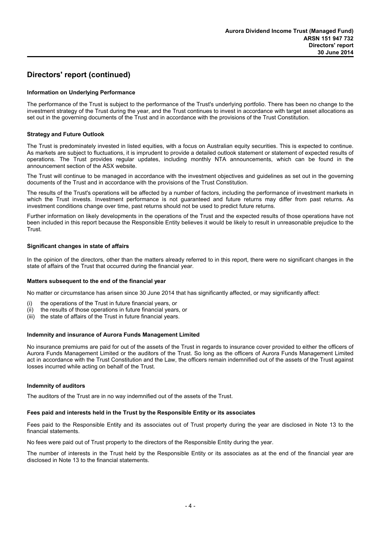#### **Information on Underlying Performance**

The performance of the Trust is subject to the performance of the Trust's underlying portfolio. There has been no change to the investment strategy of the Trust during the year, and the Trust continues to invest in accordance with target asset allocations as set out in the governing documents of the Trust and in accordance with the provisions of the Trust Constitution.

#### **Strategy and Future Outlook**

The Trust is predominately invested in listed equities, with a focus on Australian equity securities. This is expected to continue. As markets are subject to fluctuations, it is imprudent to provide a detailed outlook statement or statement of expected results of operations. The Trust provides regular updates, including monthly NTA announcements, which can be found in the announcement section of the ASX website.

The Trust will continue to be managed in accordance with the investment objectives and guidelines as set out in the governing documents of the Trust and in accordance with the provisions of the Trust Constitution.

The results of the Trust's operations will be affected by a number of factors, including the performance of investment markets in which the Trust invests. Investment performance is not quaranteed and future returns may differ from past returns. As investment conditions change over time, past returns should not be used to predict future returns.

Further information on likely developments in the operations of the Trust and the expected results of those operations have not been included in this report because the Responsible Entity believes it would be likely to result in unreasonable prejudice to the Trust.

#### **Significant changes in state of affairs**

In the opinion of the directors, other than the matters already referred to in this report, there were no significant changes in the state of affairs of the Trust that occurred during the financial year.

#### **Matters subsequent to the end of the financial year**

No matter or circumstance has arisen since 30 June 2014 that has significantly affected, or may significantly affect:

- (i) the operations of the Trust in future financial years, or
- (ii) the results of those operations in future financial years, or
- (iii) the state of affairs of the Trust in future financial years.

#### **Indemnity and insurance of Aurora Funds Management Limited**

No insurance premiums are paid for out of the assets of the Trust in regards to insurance cover provided to either the officers of Aurora Funds Management Limited or the auditors of the Trust. So long as the officers of Aurora Funds Management Limited act in accordance with the Trust Constitution and the Law, the officers remain indemnified out of the assets of the Trust against losses incurred while acting on behalf of the Trust.

#### **Indemnity of auditors**

The auditors of the Trust are in no way indemnified out of the assets of the Trust.

#### **Fees paid and interests held in the Trust by the Responsible Entity or its associates**

Fees paid to the Responsible Entity and its associates out of Trust property during the year are disclosed in Note 13 to the financial statements.

No fees were paid out of Trust property to the directors of the Responsible Entity during the year.

The number of interests in the Trust held by the Responsible Entity or its associates as at the end of the financial year are disclosed in Note 13 to the financial statements.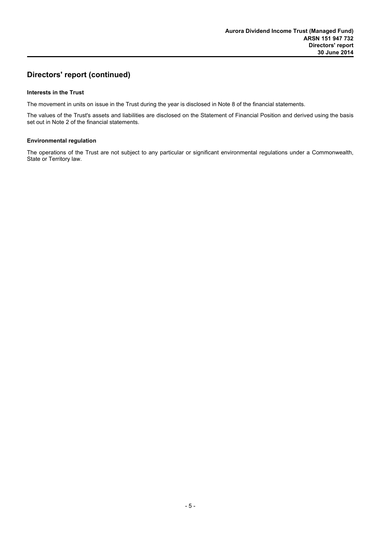#### **Interests in the Trust**

The movement in units on issue in the Trust during the year is disclosed in Note 8 of the financial statements.

The values of the Trust's assets and liabilities are disclosed on the Statement of Financial Position and derived using the basis set out in Note 2 of the financial statements.

#### **Environmental regulation**

The operations of the Trust are not subject to any particular or significant environmental regulations under a Commonwealth, State or Territory law.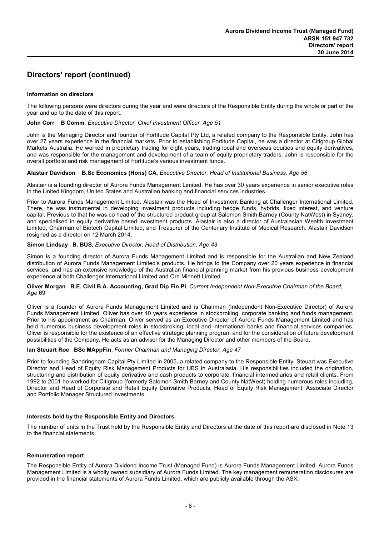#### **Information on directors**

The following persons were directors during the year and were directors of the Responsible Entity during the whole or part of the year and up to the date of this report.

#### **John Corr B Comm**, *Executive Director, Chief Investment Officer, Age 51*

John is the Managing Director and founder of Fortitude Capital Pty Ltd, a related company to the Responsible Entity. John has over 27 years experience in the financial markets. Prior to establishing Fortitude Capital, he was a director at Citigroup Global Markets Australia. He worked in proprietary trading for eight years, trading local and overseas equities and equity derivatives, and was responsible for the management and development of a team of equity proprietary traders. John is responsible for the overall portfolio and risk management of Fortitude's various investment funds.

#### **Alastair Davidson B.Sc Economics (Hons) CA**, *Executive Director, Head of Institutional Business, Age 56*

Alastair is a founding director of Aurora Funds Management Limited. He has over 30 years experience in senior executive roles in the United Kingdom, United States and Australian banking and financial services industries.

Prior to Aurora Funds Management Limited, Alastair was the Head of Investment Banking at Challenger International Limited. There, he was instrumental in developing investment products including hedge funds, hybrids, fixed interest, and venture capital. Previous to that he was co head of the structured product group at Salomon Smith Barney (County NatWest) in Sydney, and specialised in equity derivative based investment products. Alastair is also a director of Australasian Wealth Investment Limited, Chairman of Biotech Capital Limited, and Treasurer of the Centenary Institute of Medical Research. Alastair Davidson resigned as a director on 12 March 2014.

#### **Simon Lindsay B. BUS**, *Executive Director, Head of Distribution, Age 43*

Simon is a founding director of Aurora Funds Management Limited and is responsible for the Australian and New Zealand distribution of Aurora Funds Management Limited's products. He brings to the Company over 20 years experience in financial services, and has an extensive knowledge of the Australian financial planning market from his previous business development experience at both Challenger International Limited and Ord Minnett Limited.

#### **Oliver Morgan B.E. Civil B.A. Accounting, Grad Dip Fin PI**, *Current Independent Non-Executive Chairman of the Board, Age* 69

Oliver is a founder of Aurora Funds Management Limited and is Chairman (Independent Non-Executive Director) of Aurora Funds Management Limited. Oliver has over 40 years experience in stockbroking, corporate banking and funds management. Prior to his appointment as Chairman, Oliver served as an Executive Director of Aurora Funds Management Limited and has held numerous business development roles in stockbroking, local and international banks and financial services companies. Oliver is responsible for the existence of an effective strategic planning program and for the consideration of future development possibilities of the Company. He acts as an advisor for the Managing Director and other members of the Board.

#### **Ian Steuart Roe BSc MAppFin**, *Former Chairman and Managing Director, Age 47*

Prior to founding Sandringham Capital Pty Limited in 2005, a related company to the Responsible Entity. Steuart was Executive Director and Head of Equity Risk Management Products for UBS in Australasia. His responsibilities included the origination, structuring and distribution of equity derivative and cash products to corporate, financial intermediaries and retail clients. From 1992 to 2001 he worked for Citigroup (formerly Salomon Smith Barney and County NatWest) holding numerous roles including, Director and Head of Corporate and Retail Equity Derivative Products, Head of Equity Risk Management, Associate Director and Portfolio Manager Structured investments.

#### **Interests held by the Responsible Entity and Directors**

The number of units in the Trust held by the Responsible Entity and Directors at the date of this report are disclosed in Note 13 to the financial statements.

#### **Remuneration report**

The Responsible Entity of Aurora Dividend Income Trust (Managed Fund) is Aurora Funds Management Limited. Aurora Funds Management Limited is a wholly owned subsidiary of Aurora Funds Limited. The key management remuneration disclosures are provided in the financial statements of Aurora Funds Limited, which are publicly available through the ASX.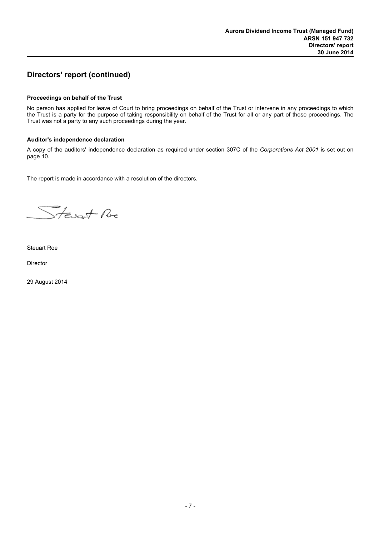#### **Proceedings on behalf of the Trust**

No person has applied for leave of Court to bring proceedings on behalf of the Trust or intervene in any proceedings to which the Trust is a party for the purpose of taking responsibility on behalf of the Trust for all or any part of those proceedings. The Trust was not a party to any such proceedings during the year.

#### **Auditor's independence declaration**

A copy of the auditors' independence declaration as required under section 307C of the *Corporations Act 2001* is set out on page 10.

The report is made in accordance with a resolution of the directors.

Stevent Re

Steuart Roe

Director

29 August 2014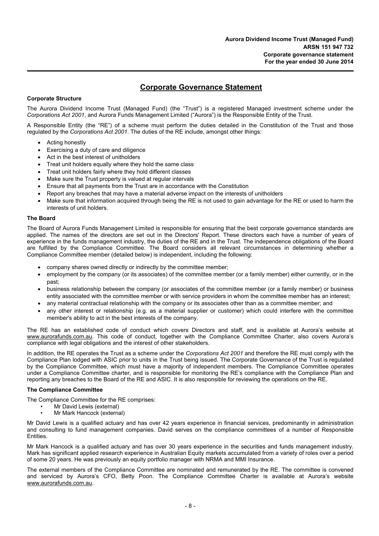## **Corporate Governance Statement**

#### **Corporate Structure**

The Aurora Dividend Income Trust (Managed Fund) (the "Trust") is a registered Managed investment scheme under the *Corporations Act 2001*, and Aurora Funds Management Limited ("Aurora") is the Responsible Entity of the Trust.

A Responsible Entity (the "RE") of a scheme must perform the duties detailed in the Constitution of the Trust and those regulated by the *Corporations Act 2001*. The duties of the RE include, amongst other things:

- Acting honestly
- Exercising a duty of care and diligence
- Act in the best interest of unitholders
- Treat unit holders equally where they hold the same class
- Treat unit holders fairly where they hold different classes
- Make sure the Trust property is valued at regular intervals
- Ensure that all payments from the Trust are in accordance with the Constitution
- Report any breaches that may have a material adverse impact on the interests of unitholders
- Make sure that information acquired through being the RE is not used to gain advantage for the RE or used to harm the interests of unit holders.

#### **The Board**

The Board of Aurora Funds Management Limited is responsible for ensuring that the best corporate governance standards are applied. The names of the directors are set out in the Directors' Report. These directors each have a number of years of experience in the funds management industry, the duties of the RE and in the Trust. The independence obligations of the Board are fulfilled by the Compliance Committee. The Board considers all relevant circumstances in determining whether a Compliance Committee member (detailed below) is independent, including the following:

- company shares owned directly or indirectly by the committee member;
- employment by the company (or its associates) of the committee member (or a family member) either currently, or in the past;
- business relationship between the company (or associates of the committee member (or a family member) or business entity associated with the committee member or with service providers in whom the committee member has an interest;
- any material contractual relationship with the company or its associates other than as a committee member; and
- any other interest or relationship (e.g. as a material supplier or customer) which could interfere with the committee member's ability to act in the best interests of the company.

The RE has an established code of conduct which covers Directors and staff, and is available at Aurora's website at www.aurorafunds.com.au. This code of conduct, together with the Compliance Committee Charter, also covers Aurora's compliance with legal obligations and the interest of other stakeholders.

In addition, the RE operates the Trust as a scheme under the *Corporations Act 2001* and therefore the RE must comply with the Compliance Plan lodged with ASIC prior to units in the Trust being issued. The Corporate Governance of the Trust is regulated by the Compliance Committee, which must have a majority of independent members. The Compliance Committee operates under a Compliance Committee charter, and is responsible for monitoring the RE's compliance with the Compliance Plan and reporting any breaches to the Board of the RE and ASIC. It is also responsible for reviewing the operations on the RE.

#### **The Compliance Committee**

The Compliance Committee for the RE comprises:

- Mr David Lewis (external)
- Mr Mark Hancock (external)

Mr David Lewis is a qualified actuary and has over 42 years experience in financial services, predominantly in administration and consulting to fund management companies. David serves on the compliance committees of a number of Responsible **Entities.** 

Mr Mark Hancock is a qualified actuary and has over 30 years experience in the securities and funds management industry. Mark has significant applied research experience in Australian Equity markets accumulated from a variety of roles over a period of some 20 years. He was previously an equity portfolio manager with NRMA and MMI Insurance.

The external members of the Compliance Committee are nominated and remunerated by the RE. The committee is convened and serviced by Aurora's CFO, Betty Poon. The Compliance Committee Charter is available at Aurora's website www.aurorafunds.com.au.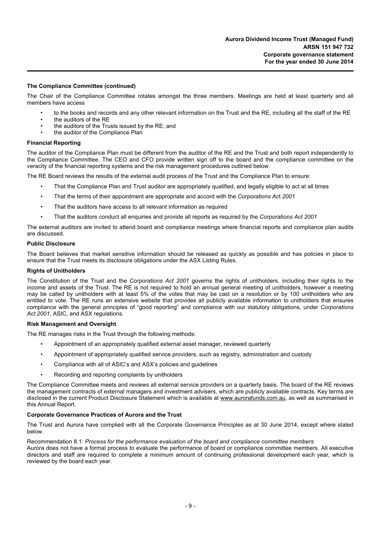#### **The Compliance Committee (continued)**

The Chair of the Compliance Committee rotates amongst the three members. Meetings are held at least quarterly and all members have access

- to the books and records and any other relevant information on the Trust and the RE, including all the staff of the RE
- the auditors of the RE
- the auditors of the Trusts issued by the RE; and
- the auditor of the Compliance Plan

#### **Financial Reporting**

The auditor of the Compliance Plan must be different from the auditor of the RE and the Trust and both report independently to the Compliance Committee. The CEO and CFO provide written sign off to the board and the compliance committee on the veracity of the financial reporting systems and the risk management procedures outlined below.

The RE Board reviews the results of the external audit process of the Trust and the Compliance Plan to ensure:

- That the Compliance Plan and Trust auditor are appropriately qualified, and legally eligible to act at all times
- That the terms of their appointment are appropriate and accord with the *Corporations Ac*t *2001*
- That the auditors have access to all relevant information as required
- That the auditors conduct all enquiries and provide all reports as required by the *Corporations Act 2001*

The external auditors are invited to attend board and compliance meetings where financial reports and compliance plan audits are discussed.

#### **Public Disclosure**

The Board believes that market sensitive information should be released as quickly as possible and has policies in place to ensure that the Trust meets its disclosure obligations under the ASX Listing Rules.

#### **Rights of Unitholders**

The Constitution of the Trust and the *Corporations Act 2001* governs the rights of unitholders, including their rights to the income and assets of the Trust. The RE is not required to hold an annual general meeting of unitholders, however a meeting may be called by unitholders with at least 5% of the votes that may be cast on a resolution or by 100 unitholders who are entitled to vote. The RE runs an extensive website that provides all publicly available information to unitholders that ensures compliance with the general principles of "good reporting" and compliance with our statutory obligations, under *Corporations Act 2001*, ASIC, and ASX regulations.

#### **Risk Management and Oversight**

The RE manages risks in the Trust through the following methods:

- Appointment of an appropriately qualified external asset manager, reviewed quarterly
- Appointment of appropriately qualified service providers, such as registry, administration and custody
- Compliance with all of ASIC's and ASX's policies and guidelines
- Recording and reporting complaints by unitholders

The Compliance Committee meets and reviews all external service providers on a quarterly basis. The board of the RE reviews the management contracts of external managers and investment advisers, which are publicly available contracts. Key terms are disclosed in the current Product Disclosure Statement which is available at www.aurorafunds.com.au, as well as summarised in this Annual Report.

#### **Corporate Governance Practices of Aurora and the Trust**

The Trust and Aurora have complied with all the Corporate Governance Principles as at 30 June 2014, except where stated below.

Recommendation 8.1: *Process for the performance evaluation of the board and compliance committee members*

Aurora does not have a formal process to evaluate the performance of board or compliance committee members. All executive directors and staff are required to complete a minimum amount of continuing professional development each year, which is reviewed by the board each year.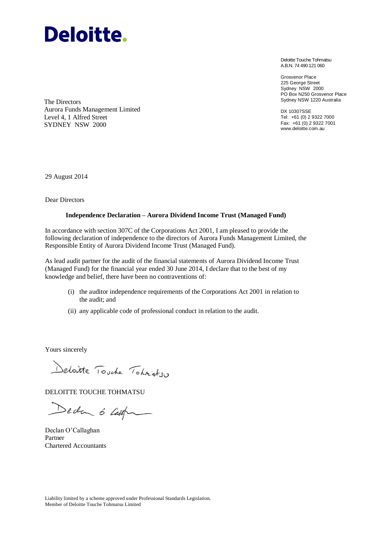

Deloitte Touche Tohmatsu A.B.N. 74 490 121 060

Grosvenor Place 225 George Street Sydney NSW 2000 PO Box N250 Grosvenor Place Sydney NSW 1220 Australia

DX 10307SSE Tel: +61 (0) 2 9322 7000 Fax: +61 (0) 2 9322 7001 www.deloitte.com.au

The Directors Aurora Funds Management Limited Level 4, 1 Alfred Street SYDNEY NSW 2000

29 August 2014

Dear Directors

#### **Independence Declaration – Aurora Dividend Income Trust (Managed Fund)**

In accordance with section 307C of the Corporations Act 2001, I am pleased to provide the following declaration of independence to the directors of Aurora Funds Management Limited, the Responsible Entity of Aurora Dividend Income Trust (Managed Fund).

As lead audit partner for the audit of the financial statements of Aurora Dividend Income Trust (Managed Fund) for the financial year ended 30 June 2014, I declare that to the best of my knowledge and belief, there have been no contraventions of:

- (i) the auditor independence requirements of the Corporations Act 2001 in relation to the audit; and
- (ii) any applicable code of professional conduct in relation to the audit.

Yours sincerely

Deloitte Touche Tohnistsu

DELOITTE TOUCHE TOHMATSU

Deda 6 cap

Declan O'Callaghan Partner Chartered Accountants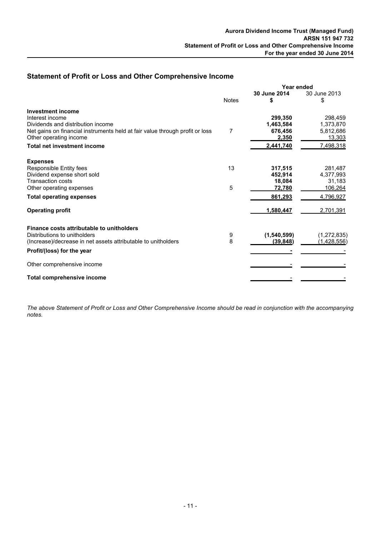## **Statement of Profit or Loss and Other Comprehensive Income**

|                                                                                                        | Year ended   |                   |                     |
|--------------------------------------------------------------------------------------------------------|--------------|-------------------|---------------------|
|                                                                                                        | <b>Notes</b> | 30 June 2014<br>S | 30 June 2013<br>\$  |
| <b>Investment income</b>                                                                               |              |                   |                     |
| Interest income                                                                                        |              | 299,350           | 298,459             |
| Dividends and distribution income                                                                      |              | 1,463,584         | 1,373,870           |
| Net gains on financial instruments held at fair value through profit or loss<br>Other operating income | 7            | 676,456<br>2,350  | 5,812,686<br>13,303 |
| <b>Total net investment income</b>                                                                     |              |                   | 7,498,318           |
|                                                                                                        |              | 2,441,740         |                     |
| <b>Expenses</b>                                                                                        |              |                   |                     |
| Responsible Entity fees                                                                                | 13           | 317,515           | 281.487             |
| Dividend expense short sold                                                                            |              | 452,914           | 4,377,993           |
| <b>Transaction costs</b>                                                                               |              | 18,084            | 31.183              |
| Other operating expenses                                                                               | 5            | 72,780            | 106,264             |
| <b>Total operating expenses</b>                                                                        |              | 861,293           | 4,796,927           |
| <b>Operating profit</b>                                                                                |              | 1,580,447         | 2,701,391           |
| Finance costs attributable to unitholders                                                              |              |                   |                     |
| Distributions to unitholders                                                                           | 9            | (1,540,599)       | (1, 272, 835)       |
| (Increase)/decrease in net assets attributable to unitholders                                          | 8            | (39, 848)         | (1,428,556)         |
| Profit/(loss) for the year                                                                             |              |                   |                     |
| Other comprehensive income                                                                             |              |                   |                     |
| Total comprehensive income                                                                             |              |                   |                     |

*The above Statement of Profit or Loss and Other Comprehensive Income should be read in conjunction with the accompanying notes.*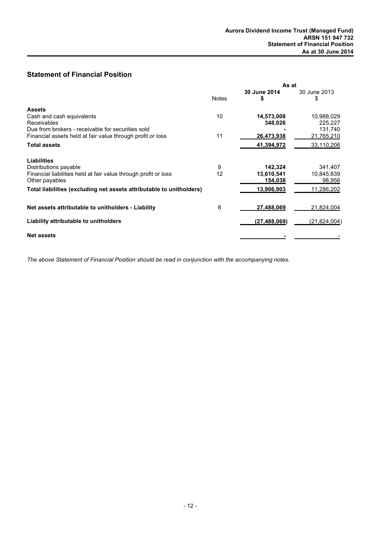## **Statement of Financial Position**

|                                                                      | As at        |              |              |
|----------------------------------------------------------------------|--------------|--------------|--------------|
|                                                                      |              | 30 June 2014 | 30 June 2013 |
|                                                                      | <b>Notes</b> |              | \$           |
| <b>Assets</b>                                                        |              |              |              |
| Cash and cash equivalents                                            | 10           | 14,573,008   | 10,988,029   |
| Receivables                                                          |              | 348,026      | 225,227      |
| Due from brokers - receivable for securities sold                    |              |              | 131,740      |
| Financial assets held at fair value through profit or loss           | 11           | 26,473,938   | 21,765,210   |
| <b>Total assets</b>                                                  |              | 41,394,972   | 33,110,206   |
| <b>Liabilities</b>                                                   |              |              |              |
| Distributions payable                                                | 9            | 142,324      | 341,407      |
| Financial liabilities held at fair value through profit or loss      | 12           | 13,610,541   | 10,845,839   |
| Other payables                                                       |              | 154,038      | 98,956       |
| Total liabilities (excluding net assets attributable to unitholders) |              | 13,906,903   | 11,286,202   |
| Net assets attributable to unitholders - Liability                   | 8            | 27,488,069   | 21,824,004   |
|                                                                      |              |              |              |
| Liability attributable to unitholders                                |              | (27,488,069) | (21,824,004) |
| <b>Net assets</b>                                                    |              |              |              |

*The above Statement of Financial Position should be read in conjunction with the accompanying notes.*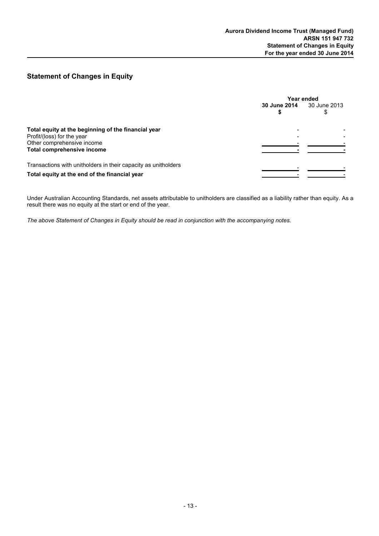## **Statement of Changes in Equity**

|                                                                | Year ended   |              |
|----------------------------------------------------------------|--------------|--------------|
|                                                                | 30 June 2014 | 30 June 2013 |
| Total equity at the beginning of the financial year            |              |              |
| Profit/(loss) for the year<br>Other comprehensive income       |              |              |
| Total comprehensive income                                     |              |              |
| Transactions with unitholders in their capacity as unitholders |              |              |
| Total equity at the end of the financial year                  |              |              |

Under Australian Accounting Standards, net assets attributable to unitholders are classified as a liability rather than equity. As a result there was no equity at the start or end of the year.

*The above Statement of Changes in Equity should be read in conjunction with the accompanying notes.*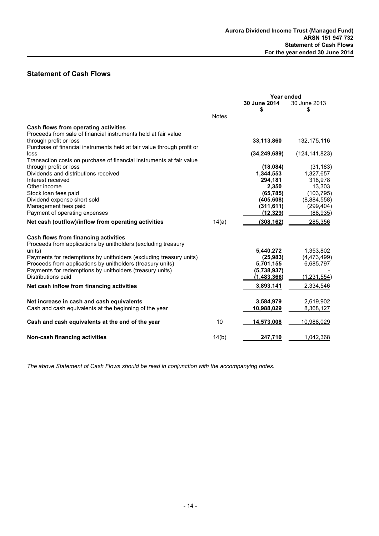## **Statement of Cash Flows**

|                                                                        |              | Year ended        |                   |
|------------------------------------------------------------------------|--------------|-------------------|-------------------|
|                                                                        |              | 30 June 2014      | 30 June 2013      |
|                                                                        |              | \$                | \$                |
|                                                                        | <b>Notes</b> |                   |                   |
| Cash flows from operating activities                                   |              |                   |                   |
| Proceeds from sale of financial instruments held at fair value         |              |                   |                   |
| through profit or loss                                                 |              | 33,113,860        | 132,175,116       |
| Purchase of financial instruments held at fair value through profit or |              |                   |                   |
| loss                                                                   |              | (34, 249, 689)    | (124, 141, 823)   |
| Transaction costs on purchase of financial instruments at fair value   |              |                   |                   |
| through profit or loss                                                 |              | (18,084)          | (31, 183)         |
| Dividends and distributions received                                   |              | 1,344,553         | 1,327,657         |
| Interest received                                                      |              | 294,181           | 318,978           |
| Other income                                                           |              | 2,350             | 13,303            |
| Stock loan fees paid                                                   |              | (65, 785)         | (103, 795)        |
| Dividend expense short sold                                            |              | (405, 608)        | (8,884,558)       |
| Management fees paid                                                   |              | (311, 611)        | (299, 404)        |
| Payment of operating expenses                                          |              | (12, 329)         | (88, 935)         |
| Net cash (outflow)/inflow from operating activities                    | 14(a)        | (308, 162)        | 285,356           |
| Cash flows from financing activities                                   |              |                   |                   |
| Proceeds from applications by unitholders (excluding treasury          |              |                   |                   |
| units)                                                                 |              | 5,440,272         | 1,353,802         |
| Payments for redemptions by unitholders (excluding treasury units)     |              | (25, 983)         | (4,473,499)       |
| Proceeds from applications by unitholders (treasury units)             |              | 5,701,155         | 6,685,797         |
| Payments for redemptions by unitholders (treasury units)               |              | (5,738,937)       |                   |
| Distributions paid                                                     |              | (1,483,366)       | (1,231,554)       |
| Net cash inflow from financing activities                              |              | 3,893,141         | 2,334,546         |
|                                                                        |              |                   |                   |
| Net increase in cash and cash equivalents                              |              | 3,584,979         | 2,619,902         |
| Cash and cash equivalents at the beginning of the year                 |              | 10,988,029        | 8,368,127         |
|                                                                        |              |                   |                   |
| Cash and cash equivalents at the end of the year                       | 10           | <u>14,573,008</u> | <u>10,988,029</u> |
| <b>Non-cash financing activities</b>                                   | 14(b)        | 247,710           | 1,042,368         |
|                                                                        |              |                   |                   |

*The above Statement of Cash Flows should be read in conjunction with the accompanying notes.*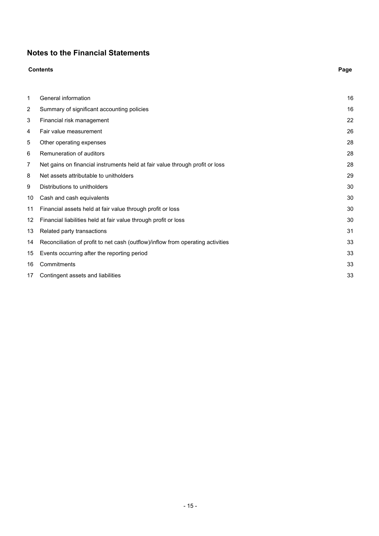## **Notes to the Financial Statements**

|    | <b>Contents</b>                                                                 | Page |
|----|---------------------------------------------------------------------------------|------|
| 1  | General information                                                             | 16   |
| 2  | Summary of significant accounting policies                                      | 16   |
| 3  | Financial risk management                                                       | 22   |
| 4  | Fair value measurement                                                          | 26   |
| 5  | Other operating expenses                                                        | 28   |
| 6  | Remuneration of auditors                                                        | 28   |
| 7  | Net gains on financial instruments held at fair value through profit or loss    | 28   |
| 8  | Net assets attributable to unitholders                                          | 29   |
| 9  | Distributions to unitholders                                                    | 30   |
| 10 | Cash and cash equivalents                                                       | 30   |
| 11 | Financial assets held at fair value through profit or loss                      | 30   |
| 12 | Financial liabilities held at fair value through profit or loss                 | 30   |
| 13 | Related party transactions                                                      | 31   |
| 14 | Reconciliation of profit to net cash (outflow)/inflow from operating activities | 33   |
| 15 | Events occurring after the reporting period                                     | 33   |
| 16 | Commitments                                                                     | 33   |
| 17 | Contingent assets and liabilities                                               | 33   |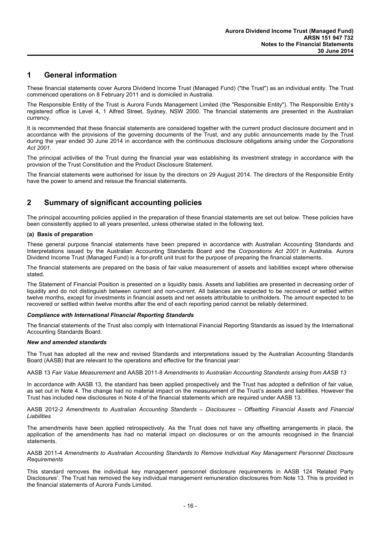## **1 General information**

These financial statements cover Aurora Dividend Income Trust (Managed Fund) ("the Trust") as an individual entity. The Trust commenced operations on 8 February 2011 and is domiciled in Australia.

The Responsible Entity of the Trust is Aurora Funds Management Limited (the "Responsible Entity"). The Responsible Entity's registered office is Level 4, 1 Alfred Street, Sydney, NSW 2000. The financial statements are presented in the Australian currency.

It is recommended that these financial statements are considered together with the current product disclosure document and in accordance with the provisions of the governing documents of the Trust, and any public announcements made by the Trust during the year ended 30 June 2014 in accordance with the continuous disclosure obligations arising under the *Corporations Act 2001*.

The principal activities of the Trust during the financial year was establishing its investment strategy in accordance with the provision of the Trust Constitution and the Product Disclosure Statement.

The financial statements were authorised for issue by the directors on 29 August 2014. The directors of the Responsible Entity have the power to amend and reissue the financial statements.

## **2 Summary of significant accounting policies**

The principal accounting policies applied in the preparation of these financial statements are set out below. These policies have been consistently applied to all years presented, unless otherwise stated in the following text.

#### **(a) Basis of preparation**

These general purpose financial statements have been prepared in accordance with Australian Accounting Standards and Interpretations issued by the Australian Accounting Standards Board and the *Corporations Act 2001* in Australia. Aurora Dividend Income Trust (Managed Fund) is a for-profit unit trust for the purpose of preparing the financial statements.

The financial statements are prepared on the basis of fair value measurement of assets and liabilities except where otherwise stated.

The Statement of Financial Position is presented on a liquidity basis. Assets and liabilities are presented in decreasing order of liquidity and do not distinguish between current and non-current. All balances are expected to be recovered or settled within twelve months, except for investments in financial assets and net assets attributable to unitholders. The amount expected to be recovered or settled within twelve months after the end of each reporting period cannot be reliably determined.

#### *Compliance with International Financial Reporting Standards*

The financial statements of the Trust also comply with International Financial Reporting Standards as issued by the International Accounting Standards Board.

#### *New and amended standards*

The Trust has adopted all the new and revised Standards and interpretations issued by the Australian Accounting Standards Board (AASB) that are relevant to the operations and effective for the financial year:

AASB 13 *Fair Value Measurement* and AASB 2011-8 *Amendments to Australian Accounting Standards arising from AASB 13*

In accordance with AASB 13, the standard has been applied prospectively and the Trust has adopted a definition of fair value, as set out in Note 4. The change had no material impact on the measurement of the Trust's assets and liabilities. However the Trust has included new disclosures in Note 4 of the financial statements which are required under AASB 13.

AASB 2012-2 *Amendments to Australian Accounting Standards – Disclosures – Offsetting Financial Assets and Financial Liabilities*

The amendments have been applied retrospectively. As the Trust does not have any offsetting arrangements in place, the application of the amendments has had no material impact on disclosures or on the amounts recognised in the financial statements.

#### AASB 2011-4 *Amendments to Australian Accounting Standards to Remove Individual Key Management Personnel Disclosure Requirements*

This standard removes the individual key management personnel disclosure requirements in AASB 124 'Related Party Disclosures'. The Trust has removed the key individual management remuneration disclosures from Note 13. This is provided in the financial statements of Aurora Funds Limited.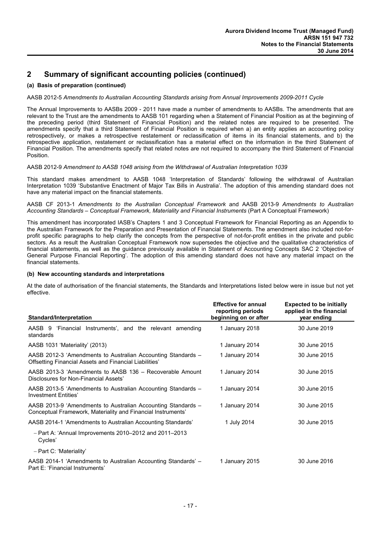#### **(a) Basis of preparation (continued)**

#### AASB 2012-5 *Amendments to Australian Accounting Standards arising from Annual Improvements 2009-2011 Cycle*

The Annual Improvements to AASBs 2009 - 2011 have made a number of amendments to AASBs. The amendments that are relevant to the Trust are the amendments to AASB 101 regarding when a Statement of Financial Position as at the beginning of the preceding period (third Statement of Financial Position) and the related notes are required to be presented. The amendments specify that a third Statement of Financial Position is required when a) an entity applies an accounting policy retrospectively, or makes a retrospective restatement or reclassification of items in its financial statements, and b) the retrospective application, restatement or reclassification has a material effect on the information in the third Statement of Financial Position. The amendments specify that related notes are not required to accompany the third Statement of Financial Position.

#### AASB 2012-9 *Amendment to AASB 1048 arising from the Withdrawal of Australian Interpretation 1039*

This standard makes amendment to AASB 1048 'Interpretation of Standards' following the withdrawal of Australian Interpretation 1039 'Substantive Enactment of Major Tax Bills in Australia'. The adoption of this amending standard does not have any material impact on the financial statements.

AASB CF 2013-1 *Amendments to the Australian Conceptual Framework* and AASB 2013-9 *Amendments to Australian Accounting Standards – Conceptual Framework, Materiality and Financial Instruments* (Part A Conceptual Framework)

This amendment has incorporated IASB's Chapters 1 and 3 Conceptual Framework for Financial Reporting as an Appendix to the Australian Framework for the Preparation and Presentation of Financial Statements. The amendment also included not-forprofit specific paragraphs to help clarify the concepts from the perspective of not-for-profit entities in the private and public sectors. As a result the Australian Conceptual Framework now supersedes the objective and the qualitative characteristics of financial statements, as well as the guidance previously available in Statement of Accounting Concepts SAC 2 'Objective of General Purpose Financial Reporting'. The adoption of this amending standard does not have any material impact on the financial statements.

#### **(b) New accounting standards and interpretations**

At the date of authorisation of the financial statements, the Standards and Interpretations listed below were in issue but not yet effective.

| Standard/Interpretation                                                                                                      | <b>Effective for annual</b><br>reporting periods<br>beginning on or after | <b>Expected to be initially</b><br>applied in the financial<br>year ending |
|------------------------------------------------------------------------------------------------------------------------------|---------------------------------------------------------------------------|----------------------------------------------------------------------------|
| 'Financial Instruments', and the relevant amending<br>AASB 9<br>standards                                                    | 1 January 2018                                                            | 30 June 2019                                                               |
| AASB 1031 'Materiality' (2013)                                                                                               | 1 January 2014                                                            | 30 June 2015                                                               |
| AASB 2012-3 'Amendments to Australian Accounting Standards -<br>Offsetting Financial Assets and Financial Liabilities'       | 1 January 2014                                                            | 30 June 2015                                                               |
| AASB 2013-3 'Amendments to AASB 136 - Recoverable Amount<br>Disclosures for Non-Financial Assets'                            | 1 January 2014                                                            | 30 June 2015                                                               |
| AASB 2013-5 'Amendments to Australian Accounting Standards –<br>Investment Entities'                                         | 1 January 2014                                                            | 30 June 2015                                                               |
| AASB 2013-9 'Amendments to Australian Accounting Standards -<br>Conceptual Framework, Materiality and Financial Instruments' | 1 January 2014                                                            | 30 June 2015                                                               |
| AASB 2014-1 'Amendments to Australian Accounting Standards'                                                                  | 1 July 2014                                                               | 30 June 2015                                                               |
| $-$ Part A: 'Annual Improvements 2010–2012 and 2011–2013<br>Cycles'                                                          |                                                                           |                                                                            |
| $-$ Part C: 'Materiality'                                                                                                    |                                                                           |                                                                            |
| AASB 2014-1 'Amendments to Australian Accounting Standards' –<br>Part E: 'Financial Instruments'                             | 1 January 2015                                                            | 30 June 2016                                                               |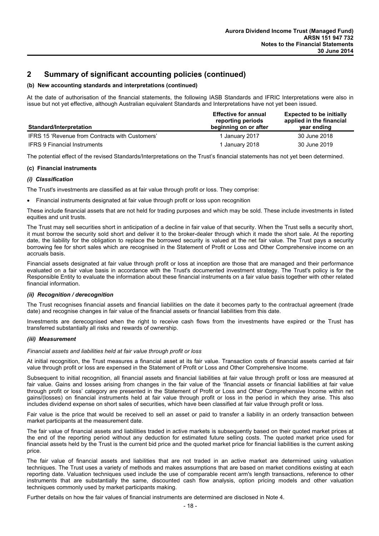#### **(b) New accounting standards and interpretations (continued)**

At the date of authorisation of the financial statements, the following IASB Standards and IFRIC Interpretations were also in issue but not yet effective, although Australian equivalent Standards and Interpretations have not yet been issued.

| <b>Standard/Interpretation</b>                  | <b>Effective for annual</b><br>reporting periods<br>beginning on or after | <b>Expected to be initially</b><br>applied in the financial<br>year ending |
|-------------------------------------------------|---------------------------------------------------------------------------|----------------------------------------------------------------------------|
| IFRS 15 'Revenue from Contracts with Customers' | 1 January 2017                                                            | 30 June 2018                                                               |
| <b>IFRS 9 Financial Instruments</b>             | I January 2018                                                            | 30 June 2019                                                               |

The potential effect of the revised Standards/Interpretations on the Trust's financial statements has not yet been determined.

#### **(c) Financial instruments**

#### *(i) Classification*

The Trust's investments are classified as at fair value through profit or loss. They comprise:

Financial instruments designated at fair value through profit or loss upon recognition

These include financial assets that are not held for trading purposes and which may be sold. These include investments in listed equities and unit trusts.

The Trust may sell securities short in anticipation of a decline in fair value of that security. When the Trust sells a security short, it must borrow the security sold short and deliver it to the broker-dealer through which it made the short sale. At the reporting date, the liability for the obligation to replace the borrowed security is valued at the net fair value. The Trust pays a security borrowing fee for short sales which are recognised in the Statement of Profit or Loss and Other Comprehensive income on an accruals basis.

Financial assets designated at fair value through profit or loss at inception are those that are managed and their performance evaluated on a fair value basis in accordance with the Trust's documented investment strategy. The Trust's policy is for the Responsible Entity to evaluate the information about these financial instruments on a fair value basis together with other related financial information.

#### *(ii) Recognition / derecognition*

The Trust recognises financial assets and financial liabilities on the date it becomes party to the contractual agreement (trade date) and recognise changes in fair value of the financial assets or financial liabilities from this date.

Investments are derecognised when the right to receive cash flows from the investments have expired or the Trust has transferred substantially all risks and rewards of ownership.

#### *(iii) Measurement*

*Financial assets and liabilities held at fair value through profit or loss*

At initial recognition, the Trust measures a financial asset at its fair value. Transaction costs of financial assets carried at fair value through profit or loss are expensed in the Statement of Profit or Loss and Other Comprehensive Income.

Subsequent to initial recognition, all financial assets and financial liabilities at fair value through profit or loss are measured at fair value. Gains and losses arising from changes in the fair value of the 'financial assets or financial liabilities at fair value through profit or loss' category are presented in the Statement of Profit or Loss and Other Comprehensive Income within net gains/(losses) on financial instruments held at fair value through profit or loss in the period in which they arise. This also includes dividend expense on short sales of securities, which have been classified at fair value through profit or loss.

Fair value is the price that would be received to sell an asset or paid to transfer a liability in an orderly transaction between market participants at the measurement date.

The fair value of financial assets and liabilities traded in active markets is subsequently based on their quoted market prices at the end of the reporting period without any deduction for estimated future selling costs. The quoted market price used for financial assets held by the Trust is the current bid price and the quoted market price for financial liabilities is the current asking price.

The fair value of financial assets and liabilities that are not traded in an active market are determined using valuation techniques. The Trust uses a variety of methods and makes assumptions that are based on market conditions existing at each reporting date. Valuation techniques used include the use of comparable recent arm's length transactions, reference to other instruments that are substantially the same, discounted cash flow analysis, option pricing models and other valuation techniques commonly used by market participants making.

Further details on how the fair values of financial instruments are determined are disclosed in Note 4.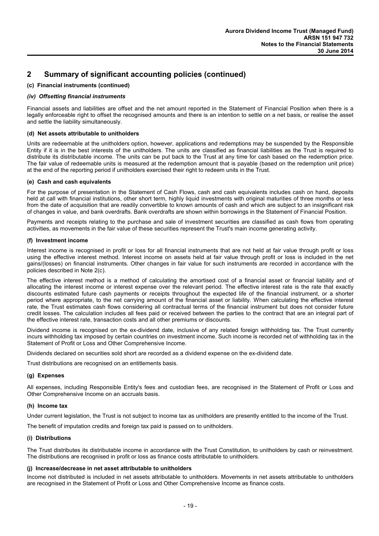#### **(c) Financial instruments (continued)**

#### *(iv) Offsetting financial instruments*

Financial assets and liabilities are offset and the net amount reported in the Statement of Financial Position when there is a legally enforceable right to offset the recognised amounts and there is an intention to settle on a net basis, or realise the asset and settle the liability simultaneously.

#### **(d) Net assets attributable to unitholders**

Units are redeemable at the unitholders option, however, applications and redemptions may be suspended by the Responsible Entity if it is in the best interests of the unitholders. The units are classified as financial liabilities as the Trust is required to distribute its distributable income. The units can be put back to the Trust at any time for cash based on the redemption price. The fair value of redeemable units is measured at the redemption amount that is payable (based on the redemption unit price) at the end of the reporting period if unitholders exercised their right to redeem units in the Trust.

#### **(e) Cash and cash equivalents**

For the purpose of presentation in the Statement of Cash Flows, cash and cash equivalents includes cash on hand, deposits held at call with financial institutions, other short term, highly liquid investments with original maturities of three months or less from the date of acquisition that are readily convertible to known amounts of cash and which are subject to an insignificant risk of changes in value, and bank overdrafts. Bank overdrafts are shown within borrowings in the Statement of Financial Position.

Payments and receipts relating to the purchase and sale of investment securities are classified as cash flows from operating activities, as movements in the fair value of these securities represent the Trust's main income generating activity.

#### **(f) Investment income**

Interest income is recognised in profit or loss for all financial instruments that are not held at fair value through profit or loss using the effective interest method. Interest income on assets held at fair value through profit or loss is included in the net gains/(losses) on financial instruments. Other changes in fair value for such instruments are recorded in accordance with the policies described in Note 2(c).

The effective interest method is a method of calculating the amortised cost of a financial asset or financial liability and of allocating the interest income or interest expense over the relevant period. The effective interest rate is the rate that exactly discounts estimated future cash payments or receipts throughout the expected life of the financial instrument, or a shorter period where appropriate, to the net carrying amount of the financial asset or liability. When calculating the effective interest rate, the Trust estimates cash flows considering all contractual terms of the financial instrument but does not consider future credit losses. The calculation includes all fees paid or received between the parties to the contract that are an integral part of the effective interest rate, transaction costs and all other premiums or discounts.

Dividend income is recognised on the ex-dividend date, inclusive of any related foreign withholding tax. The Trust currently incurs withholding tax imposed by certain countries on investment income. Such income is recorded net of withholding tax in the Statement of Profit or Loss and Other Comprehensive Income.

Dividends declared on securities sold short are recorded as a dividend expense on the ex-dividend date.

Trust distributions are recognised on an entitlements basis.

#### **(g) Expenses**

All expenses, including Responsible Entity's fees and custodian fees, are recognised in the Statement of Profit or Loss and Other Comprehensive Income on an accruals basis.

#### **(h) Income tax**

Under current legislation, the Trust is not subject to income tax as unitholders are presently entitled to the income of the Trust.

The benefit of imputation credits and foreign tax paid is passed on to unitholders.

#### **(i) Distributions**

The Trust distributes its distributable income in accordance with the Trust Constitution, to unitholders by cash or reinvestment. The distributions are recognised in profit or loss as finance costs attributable to unitholders.

#### **(j) Increase/decrease in net asset attributable to unitholders**

Income not distributed is included in net assets attributable to unitholders. Movements in net assets attributable to unitholders are recognised in the Statement of Profit or Loss and Other Comprehensive Income as finance costs.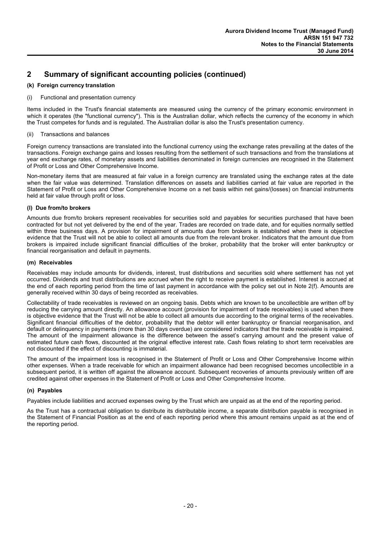#### **(k) Foreign currency translation**

#### (i) Functional and presentation currency

Items included in the Trust's financial statements are measured using the currency of the primary economic environment in which it operates (the "functional currency"). This is the Australian dollar, which reflects the currency of the economy in which the Trust competes for funds and is regulated. The Australian dollar is also the Trust's presentation currency.

#### (ii) Transactions and balances

Foreign currency transactions are translated into the functional currency using the exchange rates prevailing at the dates of the transactions. Foreign exchange gains and losses resulting from the settlement of such transactions and from the translations at year end exchange rates, of monetary assets and liabilities denominated in foreign currencies are recognised in the Statement of Profit or Loss and Other Comprehensive Income.

Non-monetary items that are measured at fair value in a foreign currency are translated using the exchange rates at the date when the fair value was determined. Translation differences on assets and liabilities carried at fair value are reported in the Statement of Profit or Loss and Other Comprehensive Income on a net basis within net gains/(losses) on financial instruments held at fair value through profit or loss.

#### **(l) Due from/to brokers**

Amounts due from/to brokers represent receivables for securities sold and payables for securities purchased that have been contracted for but not yet delivered by the end of the year. Trades are recorded on trade date, and for equities normally settled within three business days. A provision for impairment of amounts due from brokers is established when there is objective evidence that the Trust will not be able to collect all amounts due from the relevant broker. Indicators that the amount due from brokers is impaired include significant financial difficulties of the broker, probability that the broker will enter bankruptcy or financial reorganisation and default in payments.

#### **(m) Receivables**

Receivables may include amounts for dividends, interest, trust distributions and securities sold where settlement has not yet occurred. Dividends and trust distributions are accrued when the right to receive payment is established. Interest is accrued at the end of each reporting period from the time of last payment in accordance with the policy set out in Note 2(f). Amounts are generally received within 30 days of being recorded as receivables.

Collectability of trade receivables is reviewed on an ongoing basis. Debts which are known to be uncollectible are written off by reducing the carrying amount directly. An allowance account (provision for impairment of trade receivables) is used when there is objective evidence that the Trust will not be able to collect all amounts due according to the original terms of the receivables. Significant financial difficulties of the debtor, probability that the debtor will enter bankruptcy or financial reorganisation, and default or delinquency in payments (more than 30 days overdue) are considered indicators that the trade receivable is impaired. The amount of the impairment allowance is the difference between the asset's carrying amount and the present value of estimated future cash flows, discounted at the original effective interest rate. Cash flows relating to short term receivables are not discounted if the effect of discounting is immaterial.

The amount of the impairment loss is recognised in the Statement of Profit or Loss and Other Comprehensive Income within other expenses. When a trade receivable for which an impairment allowance had been recognised becomes uncollectible in a subsequent period, it is written off against the allowance account. Subsequent recoveries of amounts previously written off are credited against other expenses in the Statement of Profit or Loss and Other Comprehensive Income.

#### **(n) Payables**

Payables include liabilities and accrued expenses owing by the Trust which are unpaid as at the end of the reporting period.

As the Trust has a contractual obligation to distribute its distributable income, a separate distribution payable is recognised in the Statement of Financial Position as at the end of each reporting period where this amount remains unpaid as at the end of the reporting period.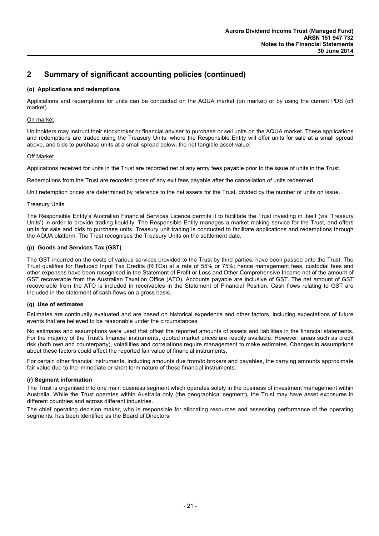#### **(o) Applications and redemptions**

Applications and redemptions for units can be conducted on the AQUA market (on market) or by using the current PDS (off market).

#### On market

Unitholders may instruct their stockbroker or financial adviser to purchase or sell units on the AQUA market. These applications and redemptions are traded using the Treasury Units, where the Responsible Entity will offer units for sale at a small spread above, and bids to purchase units at a small spread below, the net tangible asset value.

#### Off Market

Applications received for units in the Trust are recorded net of any entry fees payable prior to the issue of units in the Trust.

Redemptions from the Trust are recorded gross of any exit fees payable after the cancellation of units redeemed.

Unit redemption prices are determined by reference to the net assets for the Trust, divided by the number of units on issue.

#### **Treasury Units**

The Responsible Entity's Australian Financial Services Licence permits it to facilitate the Trust investing in itself (via 'Treasury Units') in order to provide trading liquidity. The Responsible Entity manages a market making service for the Trust, and offers units for sale and bids to purchase units. Treasury unit trading is conducted to facilitate applications and redemptions through the AQUA platform. The Trust recognises the Treasury Units on the settlement date.

#### **(p) Goods and Services Tax (GST)**

The GST incurred on the costs of various services provided to the Trust by third parties, have been passed onto the Trust. The Trust qualifies for Reduced Input Tax Credits (RITCs) at a rate of 55% or 75%; hence management fees, custodial fees and other expenses have been recognised in the Statement of Profit or Loss and Other Comprehensive Income net of the amount of GST recoverable from the Australian Taxation Office (ATO). Accounts payable are inclusive of GST. The net amount of GST recoverable from the ATO is included in receivables in the Statement of Financial Position. Cash flows relating to GST are included in the statement of cash flows on a gross basis.

#### **(q) Use of estimates**

Estimates are continually evaluated and are based on historical experience and other factors, including expectations of future events that are believed to be reasonable under the circumstances.

No estimates and assumptions were used that offset the reported amounts of assets and liabilities in the financial statements. For the majority of the Trust's financial instruments, quoted market prices are readily available. However, areas such as credit risk (both own and counterparty), volatilities and correlations require management to make estimates. Changes in assumptions about these factors could affect the reported fair value of financial instruments.

For certain other financial instruments, including amounts due from/to brokers and payables, the carrying amounts approximate fair value due to the immediate or short term nature of these financial instruments.

#### **(r) Segment information**

The Trust is organised into one main business segment which operates solely in the business of investment management within Australia. While the Trust operates within Australia only (the geographical segment), the Trust may have asset exposures in different countries and across different industries.

The chief operating decision maker, who is responsible for allocating resources and assessing performance of the operating segments, has been identified as the Board of Directors.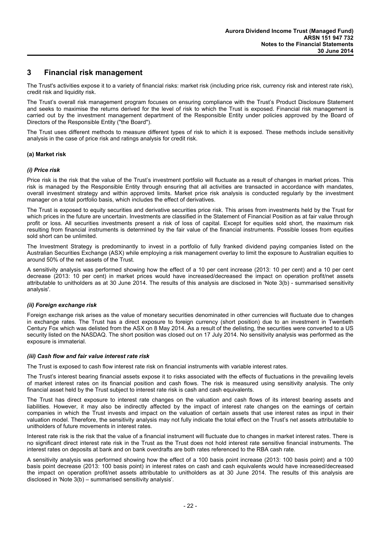## **3 Financial risk management**

The Trust's activities expose it to a variety of financial risks: market risk (including price risk, currency risk and interest rate risk), credit risk and liquidity risk.

The Trust's overall risk management program focuses on ensuring compliance with the Trust's Product Disclosure Statement and seeks to maximise the returns derived for the level of risk to which the Trust is exposed. Financial risk management is carried out by the investment management department of the Responsible Entity under policies approved by the Board of Directors of the Responsible Entity ("the Board").

The Trust uses different methods to measure different types of risk to which it is exposed. These methods include sensitivity analysis in the case of price risk and ratings analysis for credit risk.

#### **(a) Market risk**

#### *(i) Price risk*

Price risk is the risk that the value of the Trust's investment portfolio will fluctuate as a result of changes in market prices. This risk is managed by the Responsible Entity through ensuring that all activities are transacted in accordance with mandates, overall investment strategy and within approved limits. Market price risk analysis is conducted regularly by the investment manager on a total portfolio basis, which includes the effect of derivatives.

The Trust is exposed to equity securities and derivative securities price risk. This arises from investments held by the Trust for which prices in the future are uncertain. Investments are classified in the Statement of Financial Position as at fair value through profit or loss. All securities investments present a risk of loss of capital. Except for equities sold short, the maximum risk resulting from financial instruments is determined by the fair value of the financial instruments. Possible losses from equities sold short can be unlimited.

The Investment Strategy is predominantly to invest in a portfolio of fully franked dividend paying companies listed on the Australian Securities Exchange (ASX) while employing a risk management overlay to limit the exposure to Australian equities to around 50% of the net assets of the Trust.

A sensitivity analysis was performed showing how the effect of a 10 per cent increase (2013: 10 per cent) and a 10 per cent decrease (2013: 10 per cent) in market prices would have increased/decreased the impact on operation profit/net assets attributable to unitholders as at 30 June 2014. The results of this analysis are disclosed in 'Note 3(b) - summarised sensitivity analysis'.

#### *(ii) Foreign exchange risk*

Foreign exchange risk arises as the value of monetary securities denominated in other currencies will fluctuate due to changes in exchange rates. The Trust has a direct exposure to foreign currency (short position) due to an investment in Twentieth Century Fox which was delisted from the ASX on 8 May 2014. As a result of the delisting, the securities were converted to a US security listed on the NASDAQ. The short position was closed out on 17 July 2014. No sensitivity analysis was performed as the exposure is immaterial.

#### *(iii) Cash flow and fair value interest rate risk*

The Trust is exposed to cash flow interest rate risk on financial instruments with variable interest rates.

The Trust's interest bearing financial assets expose it to risks associated with the effects of fluctuations in the prevailing levels of market interest rates on its financial position and cash flows. The risk is measured using sensitivity analysis. The only financial asset held by the Trust subject to interest rate risk is cash and cash equivalents.

The Trust has direct exposure to interest rate changes on the valuation and cash flows of its interest bearing assets and liabilities. However, it may also be indirectly affected by the impact of interest rate changes on the earnings of certain companies in which the Trust invests and impact on the valuation of certain assets that use interest rates as input in their valuation model. Therefore, the sensitivity analysis may not fully indicate the total effect on the Trust's net assets attributable to unitholders of future movements in interest rates.

Interest rate risk is the risk that the value of a financial instrument will fluctuate due to changes in market interest rates. There is no significant direct interest rate risk in the Trust as the Trust does not hold interest rate sensitive financial instruments. The interest rates on deposits at bank and on bank overdrafts are both rates referenced to the RBA cash rate.

A sensitivity analysis was performed showing how the effect of a 100 basis point increase (2013: 100 basis point) and a 100 basis point decrease (2013: 100 basis point) in interest rates on cash and cash equivalents would have increased/decreased the impact on operation profit/net assets attributable to unitholders as at 30 June 2014. The results of this analysis are disclosed in 'Note 3(b) – summarised sensitivity analysis'.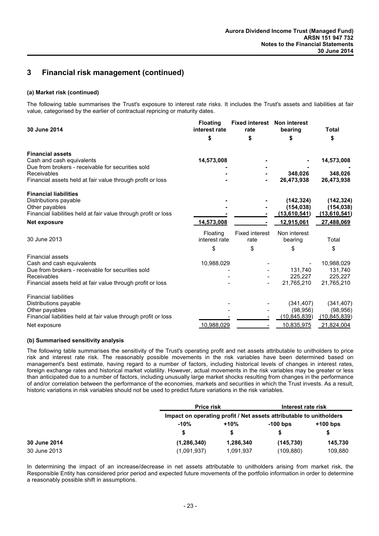## **3 Financial risk management (continued)**

#### **(a) Market risk (continued)**

The following table summarises the Trust's exposure to interest rate risks. It includes the Trust's assets and liabilities at fair value, categorised by the earlier of contractual repricing or maturity dates.

| 30 June 2014                                                    | <b>Floating</b><br>interest rate | <b>Fixed interest</b><br>rate | <b>Non interest</b><br>bearing | <b>Total</b>   |
|-----------------------------------------------------------------|----------------------------------|-------------------------------|--------------------------------|----------------|
|                                                                 | \$                               | \$                            | \$                             | \$             |
| <b>Financial assets</b>                                         |                                  |                               |                                |                |
| Cash and cash equivalents                                       | 14,573,008                       |                               |                                | 14,573,008     |
| Due from brokers - receivable for securities sold               |                                  |                               |                                |                |
| Receivables                                                     |                                  |                               | 348.026                        | 348,026        |
| Financial assets held at fair value through profit or loss      |                                  |                               | 26,473,938                     | 26,473,938     |
| <b>Financial liabilities</b>                                    |                                  |                               |                                |                |
| Distributions payable                                           |                                  |                               | (142, 324)                     | (142, 324)     |
| Other payables                                                  |                                  |                               | (154, 038)                     | (154, 038)     |
| Financial liabilities held at fair value through profit or loss |                                  |                               | (13,610,541)                   | (13,610,541)   |
| Net exposure                                                    | 14,573,008                       |                               | 12,915,061                     | 27,488,069     |
|                                                                 | Floating                         | <b>Fixed interest</b>         | Non interest                   |                |
| 30 June 2013                                                    | interest rate                    | rate                          | bearing                        | Total          |
|                                                                 | \$                               | \$                            | \$                             | \$             |
| <b>Financial assets</b>                                         |                                  |                               |                                |                |
| Cash and cash equivalents                                       | 10,988,029                       |                               |                                | 10,988,029     |
| Due from brokers - receivable for securities sold               |                                  |                               | 131,740                        | 131,740        |
| Receivables                                                     |                                  |                               | 225,227                        | 225,227        |
| Financial assets held at fair value through profit or loss      |                                  | $\overline{\phantom{a}}$      | 21,765,210                     | 21,765,210     |
| <b>Financial liabilities</b>                                    |                                  |                               |                                |                |
| Distributions payable                                           |                                  |                               | (341, 407)                     | (341, 407)     |
| Other payables                                                  |                                  |                               | (98, 956)                      | (98, 956)      |
| Financial liabilities held at fair value through profit or loss |                                  |                               | (10, 845, 839)                 | (10, 845, 839) |
| Net exposure                                                    | 10,988,029                       |                               | 10,835,975                     | 21,824,004     |

#### **(b) Summarised sensitivity analysis**

The following table summarises the sensitivity of the Trust's operating profit and net assets attributable to unitholders to price risk and interest rate risk. The reasonably possible movements in the risk variables have been determined based on management's best estimate, having regard to a number of factors, including historical levels of changes in interest rates, foreign exchange rates and historical market volatility. However, actual movements in the risk variables may be greater or less than anticipated due to a number of factors, including unusually large market shocks resulting from changes in the performance of and/or correlation between the performance of the economies, markets and securities in which the Trust invests. As a result, historic variations in risk variables should not be used to predict future variations in the risk variables.

|              |                                                                     | <b>Price risk</b> |            | Interest rate risk |  |  |
|--------------|---------------------------------------------------------------------|-------------------|------------|--------------------|--|--|
|              | Impact on operating profit / Net assets attributable to unitholders |                   |            |                    |  |  |
|              | $-10%$                                                              | $+10%$            | $-100$ bps | $+100$ bps         |  |  |
|              | S                                                                   |                   |            |                    |  |  |
| 30 June 2014 | (1, 286, 340)                                                       | 1,286,340         | (145, 730) | 145.730            |  |  |
| 30 June 2013 | (1,091,937)                                                         | 1,091,937         | (109, 880) | 109.880            |  |  |

In determining the impact of an increase/decrease in net assets attributable to unitholders arising from market risk, the Responsible Entity has considered prior period and expected future movements of the portfolio information in order to determine a reasonably possible shift in assumptions.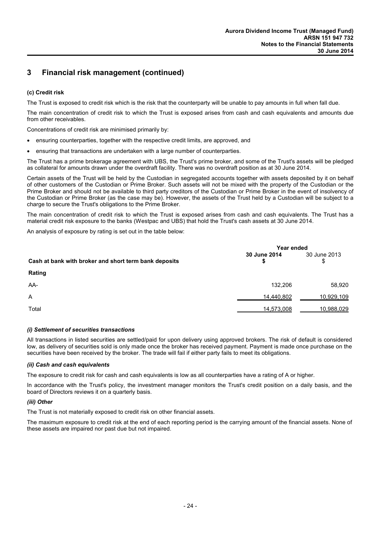## **3 Financial risk management (continued)**

#### **(c) Credit risk**

The Trust is exposed to credit risk which is the risk that the counterparty will be unable to pay amounts in full when fall due.

The main concentration of credit risk to which the Trust is exposed arises from cash and cash equivalents and amounts due from other receivables.

Concentrations of credit risk are minimised primarily by:

- ensuring counterparties, together with the respective credit limits, are approved, and
- ensuring that transactions are undertaken with a large number of counterparties.

The Trust has a prime brokerage agreement with UBS, the Trust's prime broker, and some of the Trust's assets will be pledged as collateral for amounts drawn under the overdraft facility. There was no overdraft position as at 30 June 2014.

Certain assets of the Trust will be held by the Custodian in segregated accounts together with assets deposited by it on behalf of other customers of the Custodian or Prime Broker. Such assets will not be mixed with the property of the Custodian or the Prime Broker and should not be available to third party creditors of the Custodian or Prime Broker in the event of insolvency of the Custodian or Prime Broker (as the case may be). However, the assets of the Trust held by a Custodian will be subject to a charge to secure the Trust's obligations to the Prime Broker.

The main concentration of credit risk to which the Trust is exposed arises from cash and cash equivalents. The Trust has a material credit risk exposure to the banks (Westpac and UBS) that hold the Trust's cash assets at 30 June 2014.

An analysis of exposure by rating is set out in the table below:

|                                                       | Year ended         |                    |  |
|-------------------------------------------------------|--------------------|--------------------|--|
| Cash at bank with broker and short term bank deposits | 30 June 2014<br>\$ | 30 June 2013<br>\$ |  |
| Rating                                                |                    |                    |  |
| AA-                                                   | 132,206            | 58,920             |  |
| A                                                     | 14,440,802         | <u>10,929,109</u>  |  |
| Total                                                 | 14,573,008         | 10,988,029         |  |

#### *(i) Settlement of securities transactions*

All transactions in listed securities are settled/paid for upon delivery using approved brokers. The risk of default is considered low, as delivery of securities sold is only made once the broker has received payment. Payment is made once purchase on the securities have been received by the broker. The trade will fail if either party fails to meet its obligations.

#### *(ii) Cash and cash equivalents*

The exposure to credit risk for cash and cash equivalents is low as all counterparties have a rating of A or higher.

In accordance with the Trust's policy, the investment manager monitors the Trust's credit position on a daily basis, and the board of Directors reviews it on a quarterly basis.

#### *(iii) Other*

The Trust is not materially exposed to credit risk on other financial assets.

The maximum exposure to credit risk at the end of each reporting period is the carrying amount of the financial assets. None of these assets are impaired nor past due but not impaired.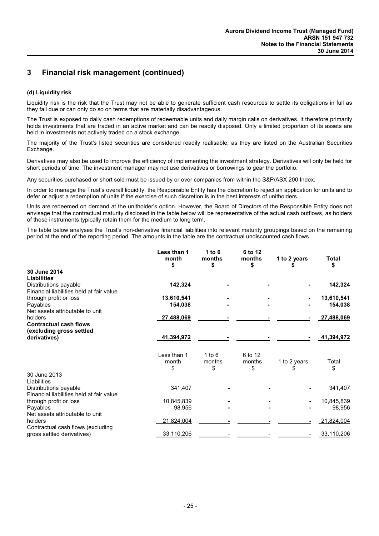## **3 Financial risk management (continued)**

#### **(d) Liquidity risk**

Liquidity risk is the risk that the Trust may not be able to generate sufficient cash resources to settle its obligations in full as they fall due or can only do so on terms that are materially disadvantageous.

The Trust is exposed to daily cash redemptions of redeemable units and daily margin calls on derivatives. It therefore primarily holds investments that are traded in an active market and can be readily disposed. Only a limited proportion of its assets are held in investments not actively traded on a stock exchange.

The majority of the Trust's listed securities are considered readily realisable, as they are listed on the Australian Securities Exchange.

Derivatives may also be used to improve the efficiency of implementing the investment strategy. Derivatives will only be held for short periods of time. The investment manager may not use derivatives or borrowings to gear the portfolio.

Any securities purchased or short sold must be issued by or over companies from within the S&P/ASX 200 Index.

In order to manage the Trust's overall liquidity, the Responsible Entity has the discretion to reject an application for units and to defer or adjust a redemption of units if the exercise of such discretion is in the best interests of unitholders.

Units are redeemed on demand at the unitholder's option. However, the Board of Directors of the Responsible Entity does not envisage that the contractual maturity disclosed in the table below will be representative of the actual cash outflows, as holders of these instruments typically retain them for the medium to long term.

The table below analyses the Trust's non-derivative financial liabilities into relevant maturity groupings based on the remaining period at the end of the reporting period. The amounts in the table are the contractual undiscounted cash flows.

|                                          | Less than 1<br>month<br>\$ | 1 to $6$<br>months<br>\$ | 6 to 12<br>months<br>\$ | 1 to 2 years | <b>Total</b><br>\$ |
|------------------------------------------|----------------------------|--------------------------|-------------------------|--------------|--------------------|
| 30 June 2014                             |                            |                          |                         |              |                    |
| <b>Liabilities</b>                       |                            |                          |                         |              |                    |
| Distributions payable                    | 142,324                    |                          |                         |              | 142,324            |
| Financial liabilities held at fair value |                            |                          |                         |              |                    |
| through profit or loss                   | 13,610,541                 |                          |                         |              | 13,610,541         |
| Payables                                 | 154,038                    |                          |                         |              | 154,038            |
| Net assets attributable to unit          |                            |                          |                         |              |                    |
| holders                                  | 27,488,069                 |                          |                         |              | 27,488,069         |
| <b>Contractual cash flows</b>            |                            |                          |                         |              |                    |
| (excluding gross settled                 |                            |                          |                         |              |                    |
| derivatives)                             | 41,394,972                 |                          |                         |              | 41,394,972         |
|                                          |                            |                          |                         |              |                    |
|                                          | Less than 1                | $1$ to $6$               | 6 to 12                 |              |                    |
|                                          | month                      | months                   | months                  | 1 to 2 years | Total              |
|                                          | \$                         | \$                       | \$                      |              | \$                 |
| 30 June 2013                             |                            |                          |                         |              |                    |
| Liabilities                              |                            |                          |                         |              |                    |
| Distributions payable                    | 341,407                    |                          |                         |              | 341,407            |
| Financial liabilities held at fair value |                            |                          |                         |              |                    |
| through profit or loss                   | 10,845,839                 |                          |                         |              | 10,845,839         |
| Payables                                 | 98,956                     |                          |                         |              | 98,956             |
| Net assets attributable to unit          |                            |                          |                         |              |                    |
| holders                                  | 21,824,004                 |                          |                         |              | 21,824,004         |
| Contractual cash flows (excluding        | 33,110,206                 |                          |                         |              | 33,110,206         |
| gross settled derivatives)               |                            |                          |                         |              |                    |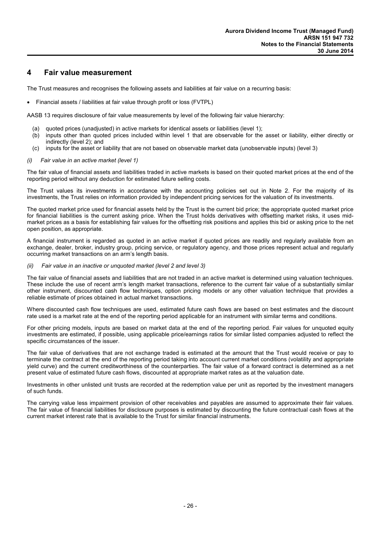## **4 Fair value measurement**

The Trust measures and recognises the following assets and liabilities at fair value on a recurring basis:

Financial assets / liabilities at fair value through profit or loss (FVTPL)

AASB 13 requires disclosure of fair value measurements by level of the following fair value hierarchy:

- (a) quoted prices (unadjusted) in active markets for identical assets or liabilities (level 1);
- (b) inputs other than quoted prices included within level 1 that are observable for the asset or liability, either directly or indirectly (level 2); and
- (c) inputs for the asset or liability that are not based on observable market data (unobservable inputs) (level 3)

#### *(i) Fair value in an active market (level 1)*

The fair value of financial assets and liabilities traded in active markets is based on their quoted market prices at the end of the reporting period without any deduction for estimated future selling costs.

The Trust values its investments in accordance with the accounting policies set out in Note 2. For the majority of its investments, the Trust relies on information provided by independent pricing services for the valuation of its investments.

The quoted market price used for financial assets held by the Trust is the current bid price; the appropriate quoted market price for financial liabilities is the current asking price. When the Trust holds derivatives with offsetting market risks, it uses midmarket prices as a basis for establishing fair values for the offsetting risk positions and applies this bid or asking price to the net open position, as appropriate.

A financial instrument is regarded as quoted in an active market if quoted prices are readily and regularly available from an exchange, dealer, broker, industry group, pricing service, or regulatory agency, and those prices represent actual and regularly occurring market transactions on an arm's length basis.

#### *(ii) Fair value in an inactive or unquoted market (level 2 and level 3)*

The fair value of financial assets and liabilities that are not traded in an active market is determined using valuation techniques. These include the use of recent arm's length market transactions, reference to the current fair value of a substantially similar other instrument, discounted cash flow techniques, option pricing models or any other valuation technique that provides a reliable estimate of prices obtained in actual market transactions.

Where discounted cash flow techniques are used, estimated future cash flows are based on best estimates and the discount rate used is a market rate at the end of the reporting period applicable for an instrument with similar terms and conditions.

For other pricing models, inputs are based on market data at the end of the reporting period. Fair values for unquoted equity investments are estimated, if possible, using applicable price/earnings ratios for similar listed companies adjusted to reflect the specific circumstances of the issuer.

The fair value of derivatives that are not exchange traded is estimated at the amount that the Trust would receive or pay to terminate the contract at the end of the reporting period taking into account current market conditions (volatility and appropriate yield curve) and the current creditworthiness of the counterparties. The fair value of a forward contract is determined as a net present value of estimated future cash flows, discounted at appropriate market rates as at the valuation date.

Investments in other unlisted unit trusts are recorded at the redemption value per unit as reported by the investment managers of such funds.

The carrying value less impairment provision of other receivables and payables are assumed to approximate their fair values. The fair value of financial liabilities for disclosure purposes is estimated by discounting the future contractual cash flows at the current market interest rate that is available to the Trust for similar financial instruments.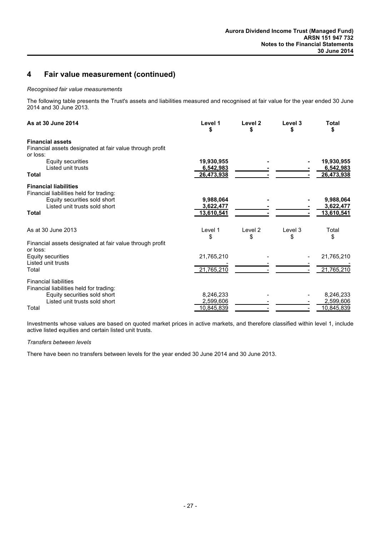## **4 Fair value measurement (continued)**

#### *Recognised fair value measurements*

The following table presents the Trust's assets and liabilities measured and recognised at fair value for the year ended 30 June 2014 and 30 June 2013.

| As at 30 June 2014                                                                                                                                       | Level 1                               | Level <sub>2</sub><br>S | Level 3<br>S  | <b>Total</b><br>S                           |
|----------------------------------------------------------------------------------------------------------------------------------------------------------|---------------------------------------|-------------------------|---------------|---------------------------------------------|
| <b>Financial assets</b><br>Financial assets designated at fair value through profit<br>or loss:                                                          |                                       |                         |               |                                             |
| Equity securities<br>Listed unit trusts<br>Total                                                                                                         | 19,930,955<br>6,542,983<br>26,473,938 |                         |               | 19,930,955<br>6,542,983<br>26,473,938       |
| <b>Financial liabilities</b><br>Financial liabilities held for trading:<br>Equity securities sold short<br>Listed unit trusts sold short<br><b>Total</b> | 9,988,064<br>3,622,477<br>13,610,541  |                         |               | 9,988,064<br>3,622,477<br><u>13,610,541</u> |
| As at 30 June 2013                                                                                                                                       | Level 1<br>\$                         | Level 2<br>\$           | Level 3<br>\$ | Total<br>\$                                 |
| Financial assets designated at fair value through profit<br>or loss:                                                                                     |                                       |                         |               |                                             |
| <b>Equity securities</b>                                                                                                                                 | 21,765,210                            |                         |               | 21,765,210                                  |
| Listed unit trusts<br>Total                                                                                                                              | 21,765,210                            |                         |               | 21,765,210                                  |
| <b>Financial liabilities</b><br>Financial liabilities held for trading:<br>Equity securities sold short<br>Listed unit trusts sold short<br>Total        | 8,246,233<br>2,599,606<br>10.845.839  |                         |               | 8,246,233<br>2,599,606<br>10,845,839        |

Investments whose values are based on quoted market prices in active markets, and therefore classified within level 1, include active listed equities and certain listed unit trusts.

#### *Transfers between levels*

There have been no transfers between levels for the year ended 30 June 2014 and 30 June 2013.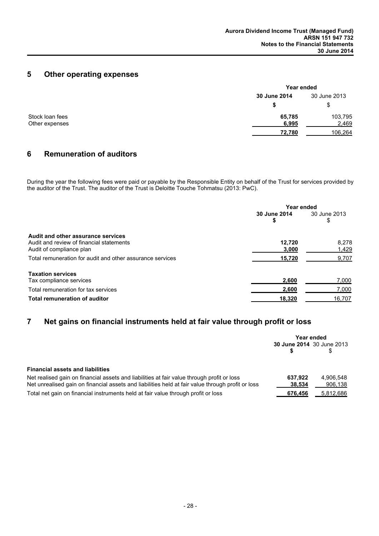## **5 Other operating expenses**

|                                   | Year ended      |                  |  |
|-----------------------------------|-----------------|------------------|--|
|                                   | 30 June 2014    | 30 June 2013     |  |
|                                   | S               | \$.              |  |
| Stock loan fees<br>Other expenses | 65,785<br>6,995 | 103,795<br>2,469 |  |
|                                   | 72,780          | 106,264          |  |

## **6 Remuneration of auditors**

During the year the following fees were paid or payable by the Responsible Entity on behalf of the Trust for services provided by the auditor of the Trust. The auditor of the Trust is Deloitte Touche Tohmatsu (2013: PwC).

|                                                                                                            | Year ended         |                    |  |
|------------------------------------------------------------------------------------------------------------|--------------------|--------------------|--|
|                                                                                                            | 30 June 2014<br>\$ | 30 June 2013<br>\$ |  |
| Audit and other assurance services<br>Audit and review of financial statements<br>Audit of compliance plan | 12.720<br>3,000    | 8,278<br>1,429     |  |
| Total remuneration for audit and other assurance services                                                  | 15,720             | 9.707              |  |
| <b>Taxation services</b><br>Tax compliance services                                                        | 2,600              | 7,000              |  |
| Total remuneration for tax services                                                                        | 2,600              | 7,000              |  |
| Total remuneration of auditor                                                                              | 18,320             | 16.707             |  |

## **7 Net gains on financial instruments held at fair value through profit or loss**

|                                                                                                                                                                                                 | Year ended<br>30 June 2014 30 June 2013 |                      |
|-------------------------------------------------------------------------------------------------------------------------------------------------------------------------------------------------|-----------------------------------------|----------------------|
| <b>Financial assets and liabilities</b>                                                                                                                                                         |                                         |                      |
| Net realised gain on financial assets and liabilities at fair value through profit or loss<br>Net unrealised gain on financial assets and liabilities held at fair value through profit or loss | 637.922<br>38,534                       | 4,906,548<br>906,138 |
| Total net gain on financial instruments held at fair value through profit or loss                                                                                                               | 676,456                                 | 5,812,686            |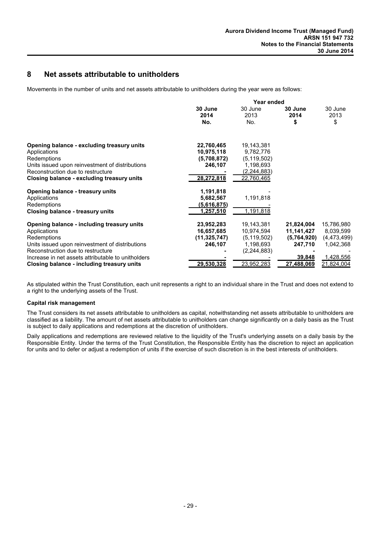## **8 Net assets attributable to unitholders**

Movements in the number of units and net assets attributable to unitholders during the year were as follows:

|                                                    | Year ended       |                   |                 |                 |
|----------------------------------------------------|------------------|-------------------|-----------------|-----------------|
|                                                    | 30 June<br>2014  | 30 June<br>2013   | 30 June<br>2014 | 30 June<br>2013 |
|                                                    | No.              | No.               | \$              | \$              |
| Opening balance - excluding treasury units         | 22,760,465       | 19,143,381        |                 |                 |
| Applications                                       | 10,975,118       | 9,782,776         |                 |                 |
| Redemptions                                        | (5,708,872)      | (5, 119, 502)     |                 |                 |
| Units issued upon reinvestment of distributions    | 246,107          | 1,198,693         |                 |                 |
| Reconstruction due to restructure                  |                  | (2,244,883)       |                 |                 |
| Closing balance - excluding treasury units         | 28,272,818       | 22,760,465        |                 |                 |
| Opening balance - treasury units                   | 1,191,818        |                   |                 |                 |
| Applications                                       | 5,682,567        | 1,191,818         |                 |                 |
| Redemptions                                        | (5,616,875)      |                   |                 |                 |
| <b>Closing balance - treasury units</b>            | <u>1,257,510</u> | <u>1,191,818</u>  |                 |                 |
| Opening balance - including treasury units         | 23,952,283       | 19,143,381        | 21,824,004      | 15,786,980      |
| Applications                                       | 16,657,685       | 10,974,594        | 11,141,427      | 8,039,599       |
| Redemptions                                        | (11, 325, 747)   | (5, 119, 502)     | (5,764,920)     | (4, 473, 499)   |
| Units issued upon reinvestment of distributions    | 246,107          | 1,198,693         | 247,710         | 1,042,368       |
| Reconstruction due to restructure                  |                  | (2,244,883)       |                 |                 |
| Increase in net assets attributable to unitholders |                  |                   | 39,848          | 1,428,556       |
| Closing balance - including treasury units         | 29,530,328       | <u>23,952,283</u> | 27,488,069      | 21,824,004      |

As stipulated within the Trust Constitution, each unit represents a right to an individual share in the Trust and does not extend to a right to the underlying assets of the Trust.

#### **Capital risk management**

The Trust considers its net assets attributable to unitholders as capital, notwithstanding net assets attributable to unitholders are classified as a liability. The amount of net assets attributable to unitholders can change significantly on a daily basis as the Trust is subject to daily applications and redemptions at the discretion of unitholders.

Daily applications and redemptions are reviewed relative to the liquidity of the Trust's underlying assets on a daily basis by the Responsible Entity. Under the terms of the Trust Constitution, the Responsible Entity has the discretion to reject an application for units and to defer or adjust a redemption of units if the exercise of such discretion is in the best interests of unitholders.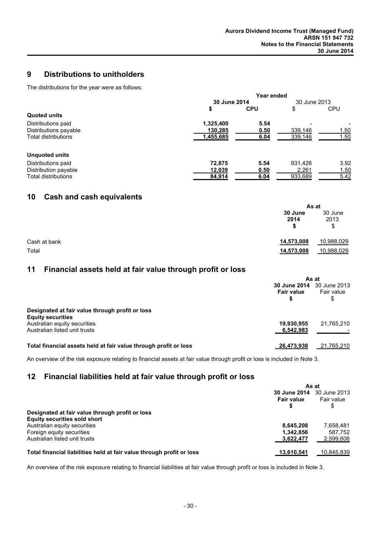## **9 Distributions to unitholders**

The distributions for the year were as follows:

|                            | Year ended |              |         |              |
|----------------------------|------------|--------------|---------|--------------|
|                            |            | 30 June 2014 |         | 30 June 2013 |
|                            | \$         | <b>CPU</b>   | \$      | <b>CPU</b>   |
| Quoted units               |            |              |         |              |
| Distributions paid         | 1,325,400  | 5.54         |         |              |
| Distributions payable      | 130,285    | 0.50         | 339,146 | 1.50         |
| <b>Total distributions</b> | 1,455,685  | 6.04         | 339,146 | 1.50         |
| Unguoted units             |            |              |         |              |
| Distributions paid         | 72,875     | 5.54         | 931.428 | 3.92         |
| Distribution payable       | 12,039     | 0.50         | 2,261   | 1.50         |
| <b>Total distributions</b> | 84,914     | 6.04         | 933,689 | 5.42         |

## **10 Cash and cash equivalents**

|              |                       | As at                 |  |
|--------------|-----------------------|-----------------------|--|
|              | 30 June<br>2014<br>\$ | 30 June<br>2013<br>\$ |  |
| Cash at bank | 14,573,008            | 10,988,029            |  |
| Total        | 14,573,008            | 10,988,029            |  |

## **11 Financial assets held at fair value through profit or loss**

|                                                                             | As at                                                 |            |  |
|-----------------------------------------------------------------------------|-------------------------------------------------------|------------|--|
|                                                                             | <b>30 June 2014</b> 30 June 2013<br><b>Fair value</b> | Fair value |  |
| Designated at fair value through profit or loss<br><b>Equity securities</b> |                                                       |            |  |
| Australian equity securities<br>Australian listed unit trusts               | 19,930,955<br>6,542,983                               | 21,765,210 |  |
| Total financial assets held at fair value through profit or loss            | 26,473,938                                            | 21,765,210 |  |

An overview of the risk exposure relating to financial assets at fair value through profit or loss is included in Note 3.

## **12 Financial liabilities held at fair value through profit or loss**

|                                                                       | As at               |              |
|-----------------------------------------------------------------------|---------------------|--------------|
|                                                                       | <b>30 June 2014</b> | 30 June 2013 |
|                                                                       | <b>Fair value</b>   | Fair value   |
|                                                                       |                     |              |
| Designated at fair value through profit or loss                       |                     |              |
| <b>Equity securities sold short</b>                                   |                     |              |
| Australian equity securities                                          | 8.645.208           | 7,658,481    |
| Foreign equity securities                                             | 1.342.856           | 587.752      |
| Australian listed unit trusts                                         | 3.622.477           | 2,599,606    |
| Total financial liabilities held at fair value through profit or loss | 13,610,541          | 10.845.839   |

An overview of the risk exposure relating to financial liabilities at fair value through profit or loss is included in Note 3.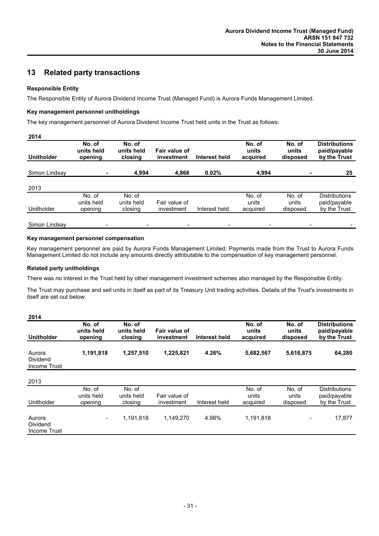## **13 Related party transactions**

#### **Responsible Entity**

The Responsible Entity of Aurora Dividend Income Trust (Managed Fund) is Aurora Funds Management Limited.

#### **Key management personnel unitholdings**

The key management personnel of Aurora Dividend Income Trust held units in the Trust as follows:

| <b>Unitholder</b> | No. of<br>units held<br>opening | No. of<br>units held<br>closing | Fair value of<br>investment | Interest held | No. of<br>units<br>acquired | No. of<br>units<br>disposed | <b>Distributions</b><br>paid/payable<br>by the Trust |
|-------------------|---------------------------------|---------------------------------|-----------------------------|---------------|-----------------------------|-----------------------------|------------------------------------------------------|
| Simon Lindsay     |                                 | 4,994                           | 4,868                       | 0.02%         | 4,994                       |                             | 25                                                   |
| 2013              |                                 |                                 |                             |               |                             |                             |                                                      |
| Unitholder        | No. of<br>units held<br>opening | No. of<br>units held<br>closing | Fair value of<br>investment | Interest held | No. of<br>units<br>acquired | No. of<br>units<br>disposed | <b>Distributions</b><br>paid/payable<br>by the Trust |
| Simon Lindsay     |                                 |                                 |                             |               |                             |                             |                                                      |

#### **Key management personnel compensation**

Key management personnel are paid by Aurora Funds Management Limited. Payments made from the Trust to Aurora Funds Management Limited do not include any amounts directly attributable to the compensation of key management personnel.

#### **Related party unitholdings**

There was no interest in the Trust held by other management investment schemes also managed by the Responsible Entity.

The Trust may purchase and sell units in itself as part of its Treasury Unit trading activities. Details of the Trust's investments in itself are set out below:

| 2014                               |                                 |                                 |                             |               |                             |                             |                                                      |
|------------------------------------|---------------------------------|---------------------------------|-----------------------------|---------------|-----------------------------|-----------------------------|------------------------------------------------------|
| <b>Unitholder</b>                  | No. of<br>units held<br>opening | No. of<br>units held<br>closing | Fair value of<br>investment | Interest held | No. of<br>units<br>acquired | No. of<br>units<br>disposed | <b>Distributions</b><br>paid/payable<br>by the Trust |
| Aurora<br>Dividend<br>Income Trust | 1,191,818                       | 1,257,510                       | 1,225,821                   | 4.26%         | 5,682,567                   | 5,616,875                   | 64,280                                               |
| 2013                               |                                 |                                 |                             |               |                             |                             |                                                      |
| Unitholder                         | No. of<br>units held<br>opening | No. of<br>units held<br>closing | Fair value of<br>investment | Interest held | No. of<br>units<br>acquired | No. of<br>units<br>disposed | <b>Distributions</b><br>paid/payable<br>by the Trust |
| Aurora<br>Dividend<br>Income Trust | -                               | 1,191,818                       | 1.149.270                   | 4.98%         | 1,191,818                   | $\overline{\phantom{a}}$    | 17,877                                               |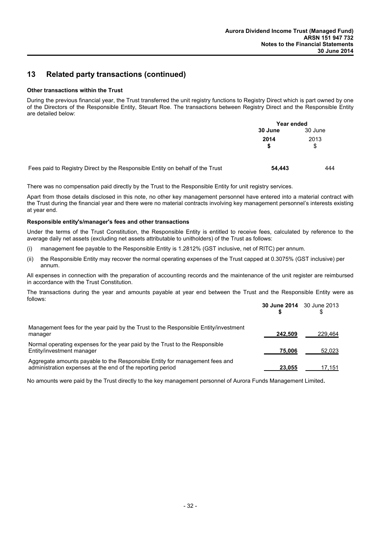## **13 Related party transactions (continued)**

#### **Other transactions within the Trust**

During the previous financial year, the Trust transferred the unit registry functions to Registry Direct which is part owned by one of the Directors of the Responsible Entity, Steuart Roe. The transactions between Registry Direct and the Responsible Entity are detailed below:

|                                                                               | Year ended |            |
|-------------------------------------------------------------------------------|------------|------------|
|                                                                               | 30 June    | 30 June    |
|                                                                               | 2014       | 2013<br>\$ |
| Fees paid to Registry Direct by the Responsible Entity on behalf of the Trust | 54.443     | 444        |

There was no compensation paid directly by the Trust to the Responsible Entity for unit registry services.

Apart from those details disclosed in this note, no other key management personnel have entered into a material contract with the Trust during the financial year and there were no material contracts involving key management personnel's interests existing at year end.

#### **Responsible entity's/manager's fees and other transactions**

Under the terms of the Trust Constitution, the Responsible Entity is entitled to receive fees, calculated by reference to the average daily net assets (excluding net assets attributable to unitholders) of the Trust as follows:

- (i) management fee payable to the Responsible Entity is 1.2812% (GST inclusive, net of RITC) per annum.
- (ii) the Responsible Entity may recover the normal operating expenses of the Trust capped at 0.3075% (GST inclusive) per annum.

All expenses in connection with the preparation of accounting records and the maintenance of the unit register are reimbursed in accordance with the Trust Constitution.

The transactions during the year and amounts payable at year end between the Trust and the Responsible Entity were as follows:

|                                                                                                                                           |         | <b>30 June 2014</b> 30 June 2013 |
|-------------------------------------------------------------------------------------------------------------------------------------------|---------|----------------------------------|
| Management fees for the year paid by the Trust to the Responsible Entity/investment<br>manager                                            | 242.509 | 229.464                          |
| Normal operating expenses for the year paid by the Trust to the Responsible<br>Entity/investment manager                                  | 75.006  | 52,023                           |
| Aggregate amounts payable to the Responsible Entity for management fees and<br>administration expenses at the end of the reporting period | 23.055  | 17,151                           |

No amounts were paid by the Trust directly to the key management personnel of Aurora Funds Management Limited**.**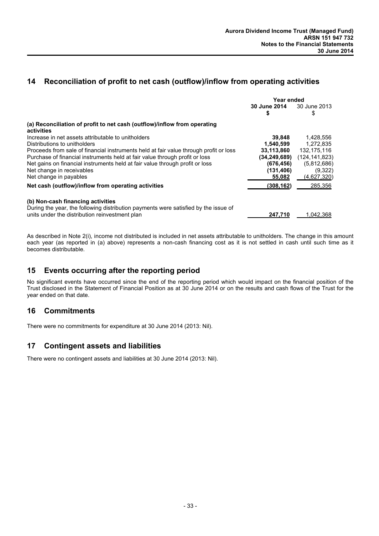## **14 Reconciliation of profit to net cash (outflow)/inflow from operating activities**

|                                                                                       | Year ended          |                 |
|---------------------------------------------------------------------------------------|---------------------|-----------------|
|                                                                                       | <b>30 June 2014</b> | 30 June 2013    |
|                                                                                       | S                   | \$              |
| (a) Reconciliation of profit to net cash (outflow)/inflow from operating              |                     |                 |
| activities                                                                            |                     |                 |
| Increase in net assets attributable to unitholders                                    | 39.848              | 1,428,556       |
| Distributions to unitholders                                                          | 1,540,599           | 1.272.835       |
| Proceeds from sale of financial instruments held at fair value through profit or loss | 33,113,860          | 132,175,116     |
| Purchase of financial instruments held at fair value through profit or loss           | (34, 249, 689)      | (124, 141, 823) |
| Net gains on financial instruments held at fair value through profit or loss          | (676, 456)          | (5,812,686)     |
| Net change in receivables                                                             | (131, 406)          | (9,322)         |
| Net change in payables                                                                | 55,082              | (4,627,320)     |
| Net cash (outflow)/inflow from operating activities                                   | (308, 162)          | 285,356         |
| (b) Non-cash financing activities                                                     |                     |                 |
| During the year, the following distribution payments were satisfied by the issue of   |                     |                 |
| units under the distribution reinvestment plan                                        | 247.710             | 1.042.368       |

As described in Note 2(i), income not distributed is included in net assets attributable to unitholders. The change in this amount each year (as reported in (a) above) represents a non-cash financing cost as it is not settled in cash until such time as it becomes distributable.

## **15 Events occurring after the reporting period**

No significant events have occurred since the end of the reporting period which would impact on the financial position of the Trust disclosed in the Statement of Financial Position as at 30 June 2014 or on the results and cash flows of the Trust for the year ended on that date.

## **16 Commitments**

There were no commitments for expenditure at 30 June 2014 (2013: Nil).

## **17 Contingent assets and liabilities**

There were no contingent assets and liabilities at 30 June 2014 (2013: Nil).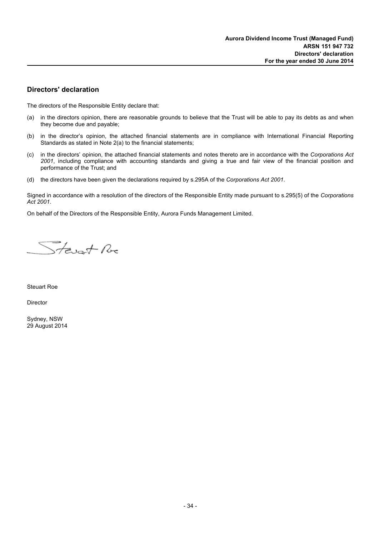### **Directors' declaration**

The directors of the Responsible Entity declare that:

- (a) in the directors opinion, there are reasonable grounds to believe that the Trust will be able to pay its debts as and when they become due and payable;
- (b) in the director's opinion, the attached financial statements are in compliance with International Financial Reporting Standards as stated in Note 2(a) to the financial statements;
- (c) in the directors' opinion, the attached financial statements and notes thereto are in accordance with the *Corporations Act 2001*, including compliance with accounting standards and giving a true and fair view of the financial position and performance of the Trust; and
- (d) the directors have been given the declarations required by s.295A of the *Corporations Act 2001*.

Signed in accordance with a resolution of the directors of the Responsible Entity made pursuant to s.295(5) of the *Corporations Act 2001*.

On behalf of the Directors of the Responsible Entity, Aurora Funds Management Limited.

Stevent Re

Steuart Roe

Director

Sydney, NSW 29 August 2014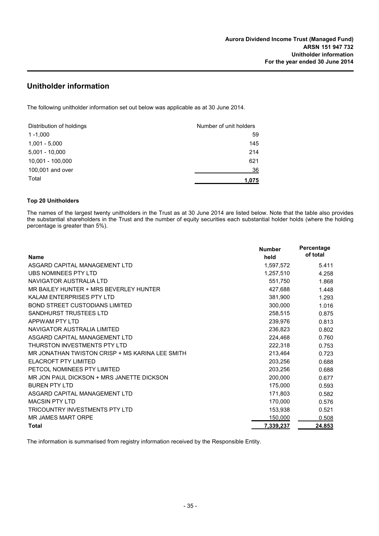## **Unitholder information**

The following unitholder information set out below was applicable as at 30 June 2014.

| Distribution of holdings | Number of unit holders |
|--------------------------|------------------------|
| $1 - 1,000$              | 59                     |
| $1,001 - 5,000$          | 145                    |
| $5,001 - 10,000$         | 214                    |
| 10,001 - 100,000         | 621                    |
| 100,001 and over         | 36                     |
| Total                    | 1,075                  |

#### **Top 20 Unitholders**

The names of the largest twenty unitholders in the Trust as at 30 June 2014 are listed below. Note that the table also provides the substantial shareholders in the Trust and the number of equity securities each substantial holder holds (where the holding percentage is greater than 5%).

| <b>Name</b>                                     | <b>Number</b><br>held | Percentage<br>of total |
|-------------------------------------------------|-----------------------|------------------------|
| ASGARD CAPITAL MANAGEMENT LTD                   | 1,597,572             | 5.411                  |
| UBS NOMINEES PTY LTD                            | 1,257,510             | 4.258                  |
| NAVIGATOR AUSTRALIA LTD                         | 551,750               | 1.868                  |
| MR BAILEY HUNTER + MRS BEVERLEY HUNTER          | 427,688               | 1.448                  |
| KALAM ENTERPRISES PTY LTD                       | 381,900               | 1.293                  |
| <b>BOND STREET CUSTODIANS LIMITED</b>           | 300,000               | 1.016                  |
| SANDHURST TRUSTEES LTD                          | 258,515               | 0.875                  |
| APPWAM PTY LTD                                  | 239,976               | 0.813                  |
| NAVIGATOR AUSTRALIA LIMITED                     | 236,823               | 0.802                  |
| ASGARD CAPITAL MANAGEMENT LTD                   | 224,468               | 0.760                  |
| THURSTON INVESTMENTS PTY LTD                    | 222,318               | 0.753                  |
| MR JONATHAN TWISTON CRISP + MS KARINA LEE SMITH | 213,464               | 0.723                  |
| ELACROFT PTY LIMITED                            | 203,256               | 0.688                  |
| PETCOL NOMINEES PTY LIMITED                     | 203,256               | 0.688                  |
| MR JON PAUL DICKSON + MRS JANETTE DICKSON       | 200,000               | 0.677                  |
| <b>BUREN PTY LTD</b>                            | 175,000               | 0.593                  |
| ASGARD CAPITAL MANAGEMENT LTD                   | 171,803               | 0.582                  |
| <b>MACSIN PTY LTD</b>                           | 170,000               | 0.576                  |
| TRICOUNTRY INVESTMENTS PTY LTD                  | 153,938               | 0.521                  |
| MR JAMES MART ORPE                              | 150,000               | 0.508                  |
| Total                                           | 7,339,237             | 24.853                 |

The information is summarised from registry information received by the Responsible Entity.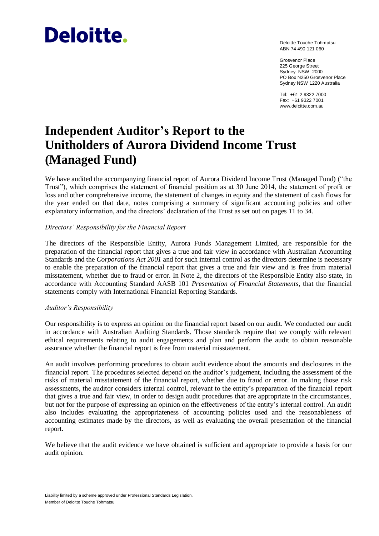# **Deloitte.**

Deloitte Touche Tohmatsu ABN 74 490 121 060

Grosvenor Place 225 George Street Sydney NSW 2000 PO Box N250 Grosvenor Place Sydney NSW 1220 Australia

Tel: +61 2 9322 7000 Fax: +61 9322 7001 www.deloitte.com.au

## **Independent Auditor's Report to the Unitholders of Aurora Dividend Income Trust (Managed Fund)**

We have audited the accompanying financial report of Aurora Dividend Income Trust (Managed Fund) ("the Trust"), which comprises the statement of financial position as at 30 June 2014, the statement of profit or loss and other comprehensive income, the statement of changes in equity and the statement of cash flows for the year ended on that date, notes comprising a summary of significant accounting policies and other explanatory information, and the directors' declaration of the Trust as set out on pages 11 to 34.

#### *Directors' Responsibility for the Financial Report*

The directors of the Responsible Entity, Aurora Funds Management Limited, are responsible for the preparation of the financial report that gives a true and fair view in accordance with Australian Accounting Standards and the *Corporations Act 2001* and for such internal control as the directors determine is necessary to enable the preparation of the financial report that gives a true and fair view and is free from material misstatement, whether due to fraud or error. In Note 2, the directors of the Responsible Entity also state, in accordance with Accounting Standard AASB 101 *Presentation of Financial Statements*, that the financial statements comply with International Financial Reporting Standards.

#### *Auditor's Responsibility*

Our responsibility is to express an opinion on the financial report based on our audit. We conducted our audit in accordance with Australian Auditing Standards. Those standards require that we comply with relevant ethical requirements relating to audit engagements and plan and perform the audit to obtain reasonable assurance whether the financial report is free from material misstatement.

An audit involves performing procedures to obtain audit evidence about the amounts and disclosures in the financial report. The procedures selected depend on the auditor's judgement, including the assessment of the risks of material misstatement of the financial report, whether due to fraud or error. In making those risk assessments, the auditor considers internal control, relevant to the entity's preparation of the financial report that gives a true and fair view, in order to design audit procedures that are appropriate in the circumstances, but not for the purpose of expressing an opinion on the effectiveness of the entity's internal control. An audit also includes evaluating the appropriateness of accounting policies used and the reasonableness of accounting estimates made by the directors, as well as evaluating the overall presentation of the financial report.

We believe that the audit evidence we have obtained is sufficient and appropriate to provide a basis for our audit opinion.